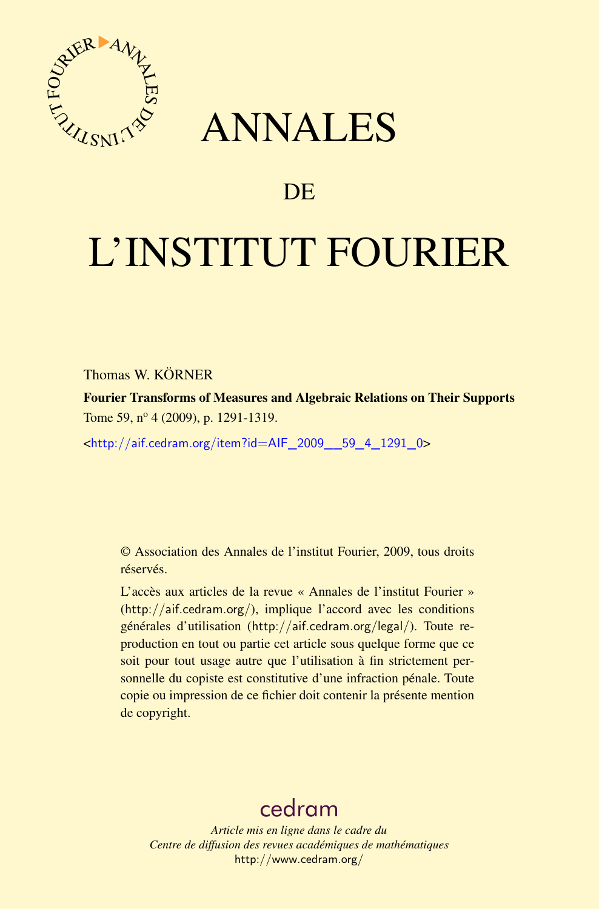

## ANNALES

## **DE**

# L'INSTITUT FOURIER

Thomas W. KÖRNER

Fourier Transforms of Measures and Algebraic Relations on Their Supports Tome 59, nº 4 (2009), p. 1291-1319.

<[http://aif.cedram.org/item?id=AIF\\_2009\\_\\_59\\_4\\_1291\\_0](http://aif.cedram.org/item?id=AIF_2009__59_4_1291_0)>

© Association des Annales de l'institut Fourier, 2009, tous droits réservés.

L'accès aux articles de la revue « Annales de l'institut Fourier » (<http://aif.cedram.org/>), implique l'accord avec les conditions générales d'utilisation (<http://aif.cedram.org/legal/>). Toute reproduction en tout ou partie cet article sous quelque forme que ce soit pour tout usage autre que l'utilisation à fin strictement personnelle du copiste est constitutive d'une infraction pénale. Toute copie ou impression de ce fichier doit contenir la présente mention de copyright.

## [cedram](http://www.cedram.org/)

*Article mis en ligne dans le cadre du Centre de diffusion des revues académiques de mathématiques* <http://www.cedram.org/>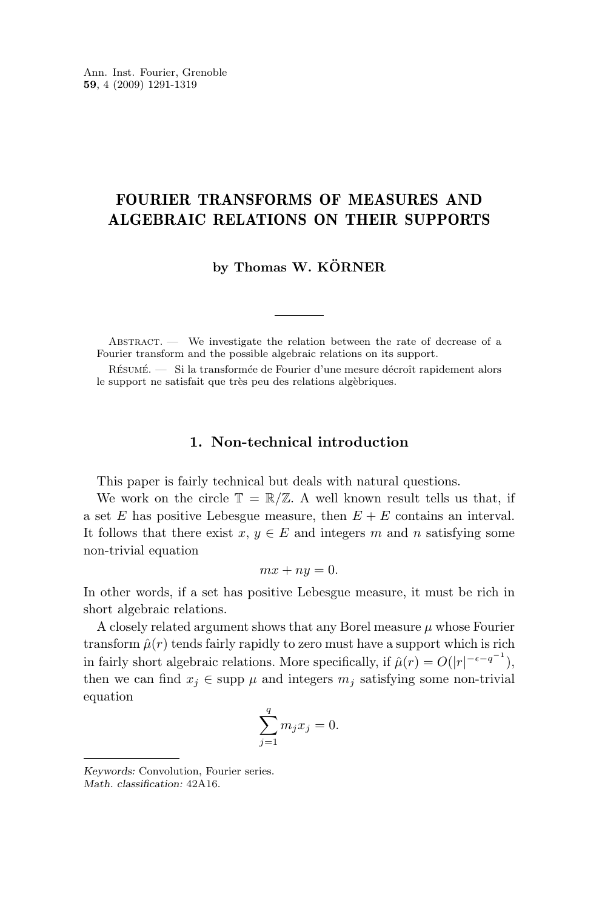### FOURIER TRANSFORMS OF MEASURES AND ALGEBRAIC RELATIONS ON THEIR SUPPORTS

**by Thomas W. KÖRNER**

ABSTRACT. — We investigate the relation between the rate of decrease of a Fourier transform and the possible algebraic relations on its support.

Résumé. — Si la transformée de Fourier d'une mesure décroît rapidement alors le support ne satisfait que très peu des relations algèbriques.

#### **1. Non-technical introduction**

This paper is fairly technical but deals with natural questions.

We work on the circle  $\mathbb{T} = \mathbb{R}/\mathbb{Z}$ . A well known result tells us that, if a set E has positive Lebesgue measure, then  $E + E$  contains an interval. It follows that there exist  $x, y \in E$  and integers m and n satisfying some non-trivial equation

$$
mx + ny = 0.
$$

In other words, if a set has positive Lebesgue measure, it must be rich in short algebraic relations.

A closely related argument shows that any Borel measure  $\mu$  whose Fourier transform  $\hat{\mu}(r)$  tends fairly rapidly to zero must have a support which is rich in fairly short algebraic relations. More specifically, if  $\hat{\mu}(r) = O(|r|^{-\epsilon - q^{-1}})$ , then we can find  $x_i \in \text{supp } \mu$  and integers  $m_i$  satisfying some non-trivial equation

$$
\sum_{j=1}^{q} m_j x_j = 0.
$$

*Math. classification:* 42A16.

*Keywords:* Convolution, Fourier series.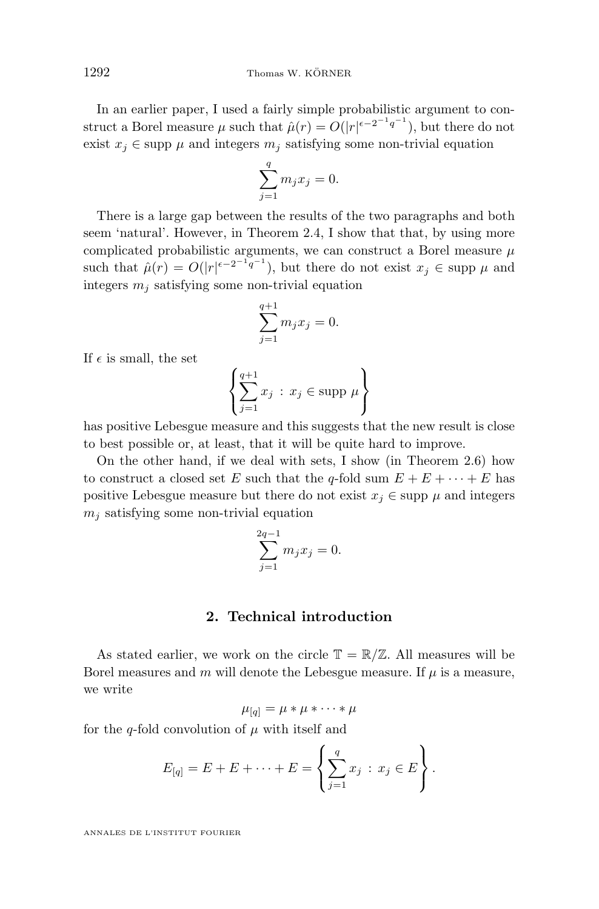In an earlier paper, I used a fairly simple probabilistic argument to construct a Borel measure  $\mu$  such that  $\hat{\mu}(r) = O(|r|^{e-2^{-1}q^{-1}})$ , but there do not exist  $x_i \in \text{supp } \mu$  and integers  $m_i$  satisfying some non-trivial equation

$$
\sum_{j=1}^{q} m_j x_j = 0.
$$

There is a large gap between the results of the two paragraphs and both seem 'natural'. However, in Theorem [2.4,](#page-4-0) I show that that, by using more complicated probabilistic arguments, we can construct a Borel measure  $\mu$ such that  $\hat{\mu}(r) = O(|r|^{\epsilon - 2^{-1}q^{-1}})$ , but there do not exist  $x_j \in \text{supp }\mu$  and integers  $m_i$  satisfying some non-trivial equation

$$
\sum_{j=1}^{q+1} m_j x_j = 0.
$$

If  $\epsilon$  is small, the set

$$
\left\{\sum_{j=1}^{q+1} x_j \,:\, x_j \in \text{supp } \mu \right\}
$$

has positive Lebesgue measure and this suggests that the new result is close to best possible or, at least, that it will be quite hard to improve.

On the other hand, if we deal with sets, I show (in Theorem [2.6\)](#page-5-0) how to construct a closed set E such that the q-fold sum  $E + E + \cdots + E$  has positive Lebesgue measure but there do not exist  $x_i \in \text{supp } \mu$  and integers  $m_i$  satisfying some non-trivial equation

$$
\sum_{j=1}^{2q-1} m_j x_j = 0.
$$

#### **2. Technical introduction**

As stated earlier, we work on the circle  $\mathbb{T} = \mathbb{R}/\mathbb{Z}$ . All measures will be Borel measures and m will denote the Lebesgue measure. If  $\mu$  is a measure, we write

$$
\mu_{[q]} = \mu * \mu * \cdots * \mu
$$

for the q-fold convolution of  $\mu$  with itself and

$$
E_{[q]} = E + E + \dots + E = \left\{ \sum_{j=1}^{q} x_j : x_j \in E \right\}.
$$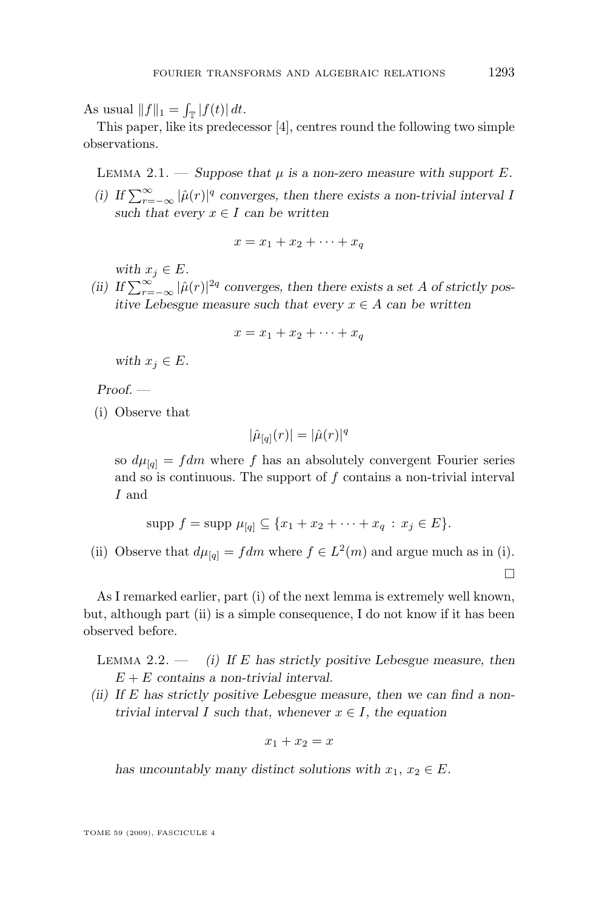<span id="page-3-0"></span>As usual  $||f||_1 = \int_{\mathbb{T}} |f(t)| dt$ .

This paper, like its predecessor [\[4\]](#page-29-0), centres round the following two simple observations.

LEMMA 2.1. — *Suppose that*  $\mu$  *is a non-zero measure with support*  $E$ *.* 

(i) If  $\sum_{r=-\infty}^{\infty} |\hat{\mu}(r)|^q$  converges, then there exists a non-trivial interval I *such that every*  $x \in I$  *can be written* 

$$
x = x_1 + x_2 + \dots + x_q
$$

*with*  $x_j \in E$ *.* 

(ii) If  $\sum_{r=-\infty}^{\infty} |\hat{\mu}(r)|^{2q}$  converges, then there exists a set A of strictly pos*itive Lebesgue measure such that every* x ∈ A *can be written*

$$
x = x_1 + x_2 + \dots + x_q
$$

*with*  $x_j \in E$ *.* 

*Proof. —*

(i) Observe that

$$
|\hat{\mu}_{[q]}(r)| = |\hat{\mu}(r)|^q
$$

so  $d\mu_{[q]} = fdm$  where f has an absolutely convergent Fourier series and so is continuous. The support of f contains a non-trivial interval I and

$$
supp f = supp \mu_{[q]} \subseteq \{x_1 + x_2 + \cdots + x_q : x_j \in E\}.
$$

(ii) Observe that  $d\mu_{[q]} = fdm$  where  $f \in L^2(m)$  and argue much as in (i).

As I remarked earlier, part (i) of the next lemma is extremely well known, but, although part (ii) is a simple consequence, I do not know if it has been observed before.

Lemma 2.2. — *(i) If* E *has strictly positive Lebesgue measure, then* E + E *contains a non-trivial interval.*

*(ii) If* E *has strictly positive Lebesgue measure, then we can find a nontrivial interval* I *such that, whenever*  $x \in I$ *, the equation* 

$$
x_1 + x_2 = x
$$

*has uncountably many distinct solutions with*  $x_1, x_2 \in E$ .

 $\Box$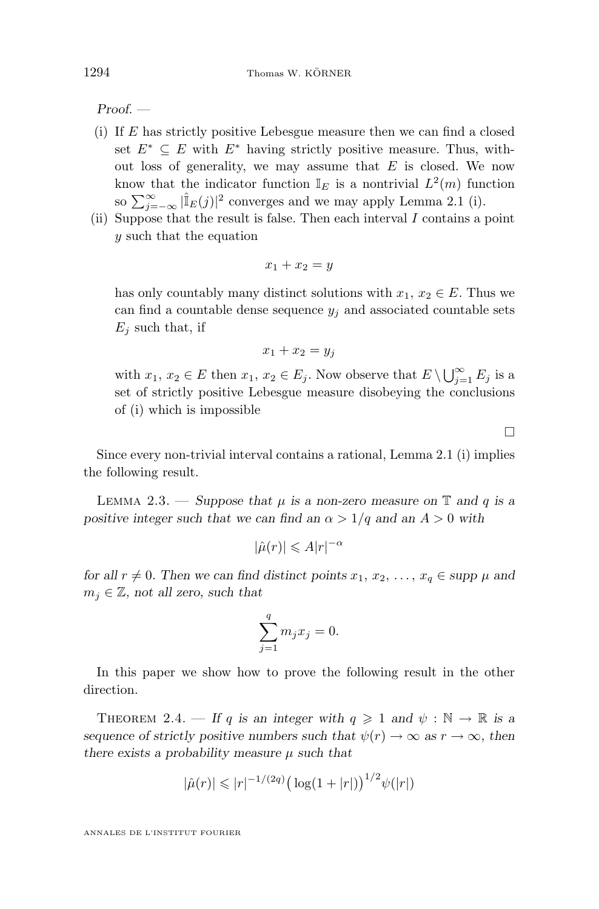<span id="page-4-0"></span>*Proof. —*

- (i) If E has strictly positive Lebesgue measure then we can find a closed set  $E^* \subseteq E$  with  $E^*$  having strictly positive measure. Thus, without loss of generality, we may assume that  $E$  is closed. We now know that the indicator function  $\mathbb{I}_E$  is a nontrivial  $L^2(m)$  function so  $\sum_{j=-\infty}^{\infty} |\hat{I}_{E}(j)|^2$  converges and we may apply Lemma [2.1](#page-3-0) (i).
- (ii) Suppose that the result is false. Then each interval  $I$  contains a point y such that the equation

$$
x_1 + x_2 = y
$$

has only countably many distinct solutions with  $x_1, x_2 \in E$ . Thus we can find a countable dense sequence  $y_j$  and associated countable sets  $E_i$  such that, if

$$
x_1 + x_2 = y_j
$$

with  $x_1, x_2 \in E$  then  $x_1, x_2 \in E_j$ . Now observe that  $E \setminus \bigcup_{j=1}^{\infty} E_j$  is a set of strictly positive Lebesgue measure disobeying the conclusions of (i) which is impossible

 $\Box$ 

Since every non-trivial interval contains a rational, Lemma [2.1](#page-3-0) (i) implies the following result.

LEMMA 2.3. — *Suppose that*  $\mu$  *is a non-zero measure on*  $\mathbb{T}$  *and* q *is a positive integer such that we can find an*  $\alpha > 1/q$  *and an*  $A > 0$  *with* 

$$
|\hat{\mu}(r)| \leqslant A|r|^{-\alpha}
$$

*for all*  $r \neq 0$ *. Then we can find distinct points*  $x_1, x_2, \ldots, x_q \in \text{supp } \mu$  *and*  $m_i \in \mathbb{Z}$ , not all zero, such that

$$
\sum_{j=1}^{q} m_j x_j = 0.
$$

In this paper we show how to prove the following result in the other direction.

THEOREM 2.4. — If q is an integer with  $q \geq 1$  and  $\psi : \mathbb{N} \to \mathbb{R}$  is a *sequence of strictly positive numbers such that*  $\psi(r) \to \infty$  *as*  $r \to \infty$ *, then there exists a probability measure* µ *such that*

$$
|\hat{\mu}(r)| \leqslant |r|^{-1/(2q)} \big(\log(1+|r|)\big)^{1/2} \psi(|r|)
$$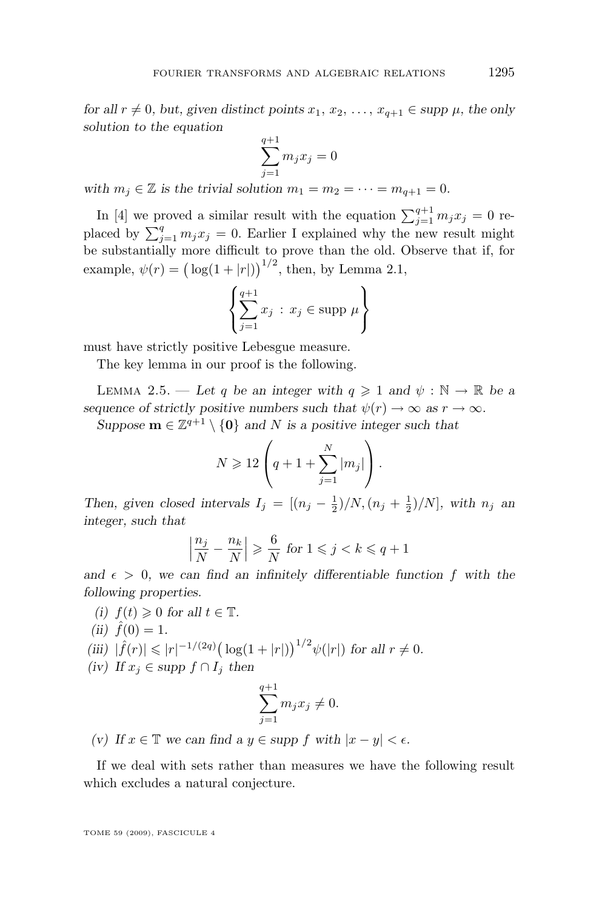<span id="page-5-0"></span>*for all*  $r \neq 0$ *, but, given distinct points*  $x_1, x_2, \ldots, x_{q+1} \in \text{supp } \mu$ *, the only solution to the equation*

$$
\sum_{j=1}^{q+1} m_j x_j = 0
$$

with  $m_i \in \mathbb{Z}$  *is the trivial solution*  $m_1 = m_2 = \cdots = m_{q+1} = 0$ *.* 

In [\[4\]](#page-29-0) we proved a similar result with the equation  $\sum_{j=1}^{q+1} m_j x_j = 0$  replaced by  $\sum_{j=1}^{q} m_j x_j = 0$ . Earlier I explained why the new result might be substantially more difficult to prove than the old. Observe that if, for example,  $\psi(r) = (\log(1+|r|))^{1/2}$ , then, by Lemma [2.1,](#page-3-0)

$$
\left\{\sum_{j=1}^{q+1} x_j : x_j \in \text{supp } \mu \right\}
$$

must have strictly positive Lebesgue measure.

The key lemma in our proof is the following.

LEMMA 2.5. — Let q be an integer with  $q \geq 1$  and  $\psi : \mathbb{N} \to \mathbb{R}$  be a *sequence of strictly positive numbers such that*  $\psi(r) \to \infty$  *as*  $r \to \infty$ *.* 

*Suppose*  $\mathbf{m} \in \mathbb{Z}^{q+1} \setminus \{0\}$  *and* N *is a positive integer such that* 

$$
N \geqslant 12 \left( q + 1 + \sum_{j=1}^{N} |m_j| \right).
$$

*Then, given closed intervals*  $I_j = \left[ (n_j - \frac{1}{2})/N, (n_j + \frac{1}{2})/N \right]$ *, with*  $n_j$  *an integer, such that*

$$
\left|\frac{n_j}{N} - \frac{n_k}{N}\right| \geqslant \frac{6}{N} \text{ for } 1 \leqslant j < k \leqslant q + 1
$$

and  $\epsilon > 0$ , we can find an infinitely differentiable function f with the *following properties.*

- *(i)*  $f(t) \geq 0$  *for all*  $t \in \mathbb{T}$ *.*
- $(ii) \hat{f}(0) = 1.$
- *(iii)*  $| \hat{f}(r) | \le |r|^{-1/(2q)} \big( \log(1+|r|) \big)^{1/2} \psi(|r|)$  for all  $r \ne 0$ .
- *(iv) If*  $x_j$  ∈ *supp*  $f ∩ I_j$  *then*

$$
\sum_{j=1}^{q+1} m_j x_j \neq 0.
$$

*(v)* If  $x \in \mathbb{T}$  *we can find a*  $y \in \text{supp } f$  *with*  $|x - y| < \epsilon$ *.* 

If we deal with sets rather than measures we have the following result which excludes a natural conjecture.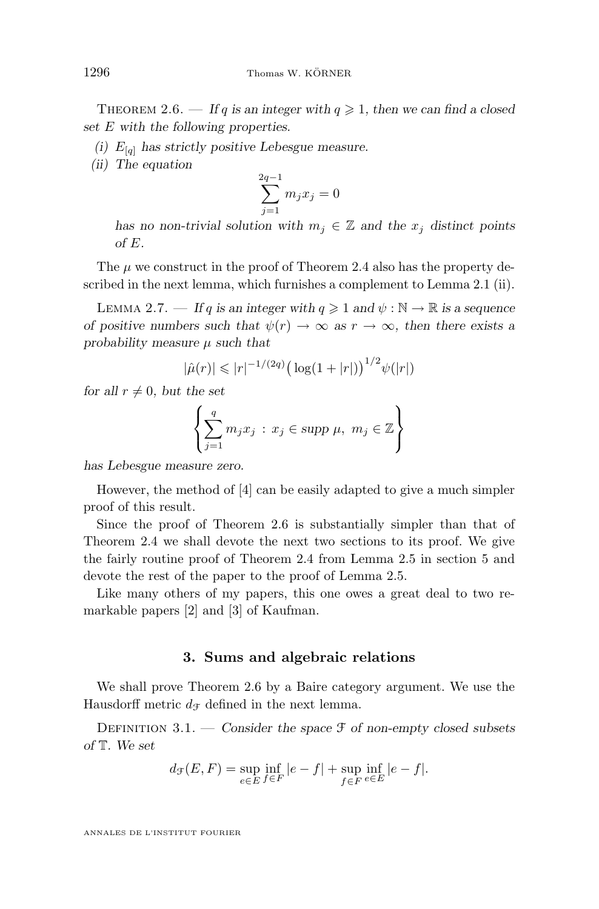THEOREM 2.6. — If q is an integer with  $q \geq 1$ , then we can find a closed *set* E *with the following properties.*

- *(i)*  $E_{[q]}$  has strictly positive Lebesgue measure.
- *(ii) The equation*

$$
\sum_{j=1}^{2q-1} m_j x_j = 0
$$

*has no non-trivial solution with*  $m_j \in \mathbb{Z}$  *and the*  $x_j$  *distinct points of* E*.*

The  $\mu$  we construct in the proof of Theorem [2.4](#page-4-0) also has the property described in the next lemma, which furnishes a complement to Lemma [2.1](#page-3-0) (ii).

LEMMA 2.7. — If q is an integer with  $q \geq 1$  and  $\psi : \mathbb{N} \to \mathbb{R}$  is a sequence *of positive numbers such that*  $\psi(r) \to \infty$  *as*  $r \to \infty$ *, then there exists a probability measure* µ *such that*

$$
|\hat{\mu}(r)| \leqslant |r|^{-1/(2q)} \big( \log(1+|r|) \big)^{1/2} \psi(|r|)
$$

*for all*  $r \neq 0$ *, but the set* 

$$
\left\{\sum_{j=1}^{q} m_j x_j : x_j \in \text{supp }\mu, \ m_j \in \mathbb{Z}\right\}
$$

*has Lebesgue measure zero.*

However, the method of [\[4\]](#page-29-0) can be easily adapted to give a much simpler proof of this result.

Since the proof of Theorem [2.6](#page-5-0) is substantially simpler than that of Theorem [2.4](#page-4-0) we shall devote the next two sections to its proof. We give the fairly routine proof of Theorem [2.4](#page-4-0) from Lemma [2.5](#page-5-0) in section [5](#page-13-0) and devote the rest of the paper to the proof of Lemma [2.5.](#page-5-0)

Like many others of my papers, this one owes a great deal to two remarkable papers [\[2\]](#page-28-0) and [\[3\]](#page-28-0) of Kaufman.

#### **3. Sums and algebraic relations**

We shall prove Theorem [2.6](#page-5-0) by a Baire category argument. We use the Hausdorff metric  $d_{\mathcal{F}}$  defined in the next lemma.

Definition 3.1. — *Consider the space* F *of non-empty closed subsets of* T*. We set*

$$
d_{\mathcal{F}}(E, F) = \sup_{e \in E} \inf_{f \in F} |e - f| + \sup_{f \in F} \inf_{e \in E} |e - f|.
$$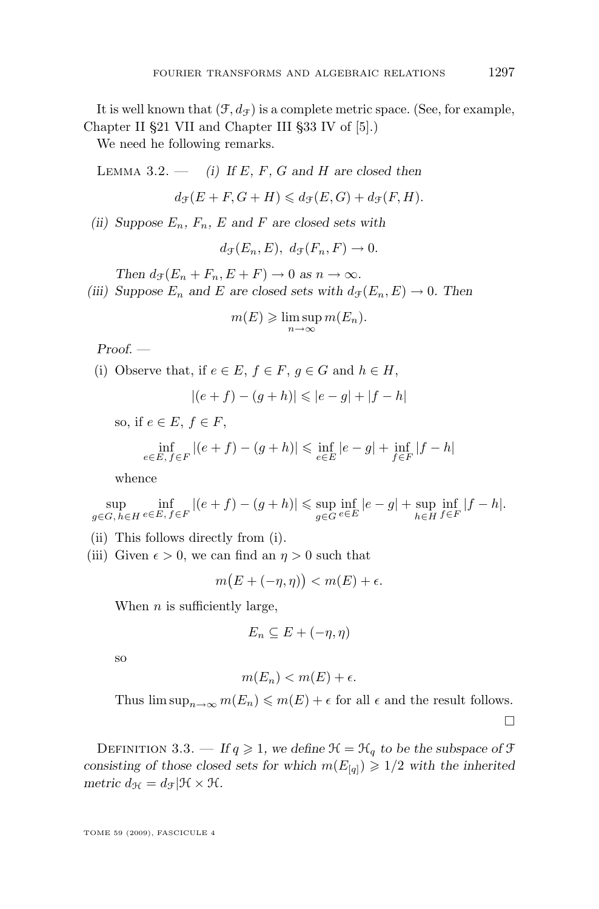<span id="page-7-0"></span>It is well known that  $(\mathcal{F}, d_{\mathcal{F}})$  is a complete metric space. (See, for example, Chapter II §21 VII and Chapter III §33 IV of [\[5\]](#page-29-0).)

We need he following remarks.

LEMMA  $3.2.$  — *(i)* If E, F, G and H are closed then

 $d_{\mathfrak{T}}(E + F, G + H) \leq d_{\mathfrak{T}}(E, G) + d_{\mathfrak{T}}(F, H).$ 

*(ii) Suppose*  $E_n$ *,*  $F_n$ *,*  $E$  *and*  $F$  *are closed sets with* 

 $d_{\mathcal{F}}(E_n, E), d_{\mathcal{F}}(F_n, F) \rightarrow 0.$ 

*Then*  $d_{\mathcal{F}}(E_n + F_n, E + F) \to 0$  *as*  $n \to \infty$ *.* 

*(iii) Suppose*  $E_n$  *and*  $E$  *are closed sets with*  $d_{\mathcal{F}}(E_n, E) \rightarrow 0$ *. Then* 

$$
m(E) \geqslant \limsup_{n \to \infty} m(E_n).
$$

*Proof. —*

(i) Observe that, if  $e \in E$ ,  $f \in F$ ,  $q \in G$  and  $h \in H$ ,

$$
|(e+f) - (g+h)| \leq |e - g| + |f - h|
$$

so, if  $e \in E$ ,  $f \in F$ ,

$$
\inf_{e \in E, f \in F} |(e + f) - (g + h)| \le \inf_{e \in E} |e - g| + \inf_{f \in F} |f - h|
$$

whence

$$
\sup_{g\in G,\,h\in H}\inf_{e\in E,\,f\in F}|(e+f)-(g+h)|\leq \sup_{g\in G}\inf_{e\in E}|e-g|+\sup_{h\in H}\inf_{f\in F}|f-h|.
$$

- (ii) This follows directly from (i).
- (iii) Given  $\epsilon > 0$ , we can find an  $\eta > 0$  such that

$$
m(E+(-\eta,\eta)) < m(E) + \epsilon.
$$

When  $n$  is sufficiently large,

$$
E_n \subseteq E + (-\eta, \eta)
$$

so

$$
m(E_n) < m(E) + \epsilon.
$$

Thus  $\limsup_{n\to\infty} m(E_n) \leqslant m(E) + \epsilon$  for all  $\epsilon$  and the result follows.

 $\Box$ 

DEFINITION 3.3. — If  $q \ge 1$ , we define  $\mathcal{H} = \mathcal{H}_q$  to be the subspace of  $\mathcal{F}$ *consisting of those closed sets for which*  $m(E_{[q]}) \geq 1/2$  *with the inherited metric*  $d_{\mathcal{H}} = d_{\mathcal{F}} | \mathcal{H} \times \mathcal{H}$ *.*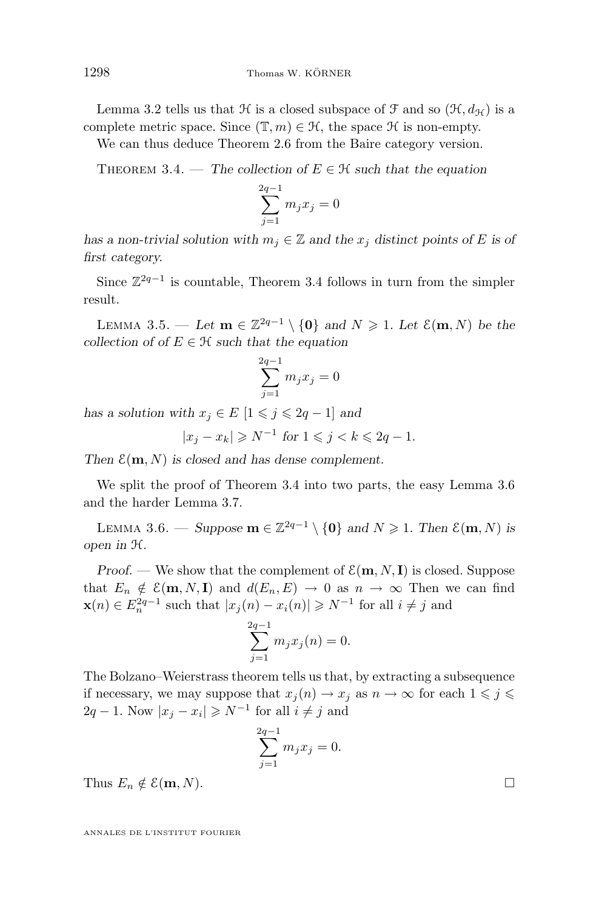<span id="page-8-0"></span>Lemma [3.2](#page-7-0) tells us that  $\mathcal H$  is a closed subspace of  $\mathcal F$  and so  $(\mathcal H, d_{\mathcal H})$  is a complete metric space. Since  $(\mathbb{T}, m) \in \mathcal{H}$ , the space  $\mathcal H$  is non-empty.

We can thus deduce Theorem [2.6](#page-5-0) from the Baire category version.

THEOREM 3.4. — The collection of  $E \in \mathcal{H}$  such that the equation

$$
\sum_{j=1}^{2q-1} m_j x_j = 0
$$

*has a non-trivial solution with*  $m_i \in \mathbb{Z}$  *and the*  $x_i$  *distinct points of* E *is of first category.*

Since  $\mathbb{Z}^{2q-1}$  is countable, Theorem 3.4 follows in turn from the simpler result.

LEMMA 3.5. — Let **m** ∈  $\mathbb{Z}^{2q-1} \setminus \{0\}$  and  $N \ge 1$ . Let  $\mathcal{E}(\mathbf{m}, N)$  be the *collection of of*  $E \in \mathcal{H}$  *such that the equation* 

 $\alpha$ .

$$
\sum_{j=1}^{2q-1} m_j x_j = 0
$$

*has a solution with*  $x_j \in E$  [ $1 \leq j \leq 2q - 1$ ] *and* 

$$
|x_j - x_k| \geqslant N^{-1} \text{ for } 1 \leqslant j < k \leqslant 2q - 1.
$$

Then  $\mathcal{E}(\mathbf{m}, N)$  *is closed and has dense complement.* 

We split the proof of Theorem 3.4 into two parts, the easy Lemma 3.6 and the harder Lemma [3.7.](#page-9-0)

LEMMA 3.6. − *Suppose* **m** ∈  $\mathbb{Z}^{2q-1} \setminus \{0\}$  *and*  $N \ge 1$ *. Then*  $\mathcal{E}(\mathbf{m}, N)$  *is*  $open$  in  $H$ .

*Proof.* — We show that the complement of  $\mathcal{E}(\mathbf{m}, N, \mathbf{I})$  is closed. Suppose that  $E_n \notin \mathcal{E}(\mathbf{m}, N, \mathbf{I})$  and  $d(E_n, E) \to 0$  as  $n \to \infty$  Then we can find  $\mathbf{x}(n) \in E_n^{2q-1}$  such that  $|x_j(n) - x_i(n)| \geq N^{-1}$  for all  $i \neq j$  and

$$
\sum_{j=1}^{2q-1} m_j x_j(n) = 0.
$$

The Bolzano–Weierstrass theorem tells us that, by extracting a subsequence if necessary, we may suppose that  $x_i(n) \to x_i$  as  $n \to \infty$  for each  $1 \leq i \leq$  $2q-1$ . Now  $|x_j - x_i| \geq N^{-1}$  for all  $i \neq j$  and

$$
\sum_{j=1}^{2q-1} m_j x_j = 0.
$$

Thus  $E_n \notin \mathcal{E}(\mathbf{m}, N)$ .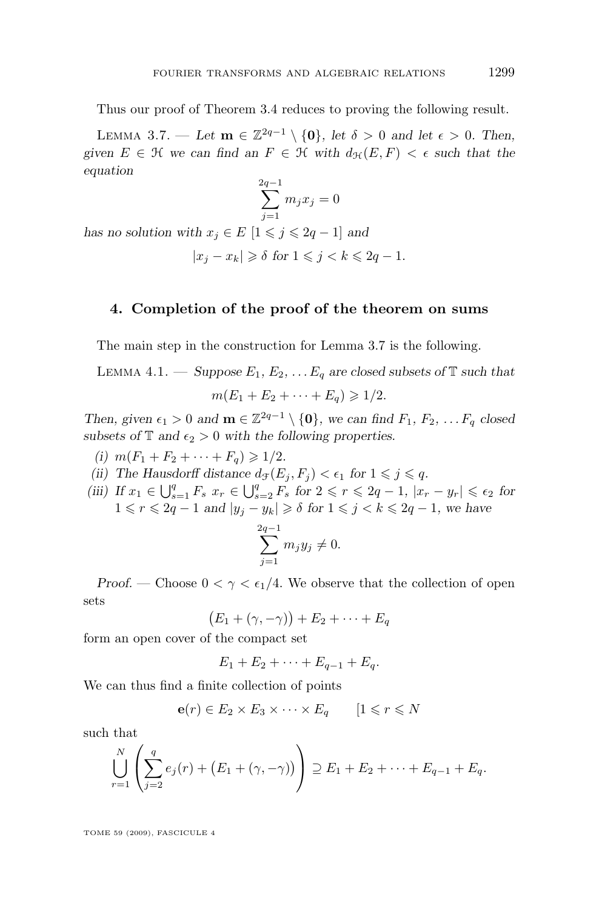<span id="page-9-0"></span>Thus our proof of Theorem [3.4](#page-8-0) reduces to proving the following result.

LEMMA 3.7. — Let  $\mathbf{m} \in \mathbb{Z}^{2q-1} \setminus \{\mathbf{0}\}\$ , let  $\delta > 0$  and let  $\epsilon > 0$ . Then, given  $E \in \mathcal{H}$  *we can find an*  $F \in \mathcal{H}$  *with*  $d_{\mathcal{H}}(E, F) < \epsilon$  *such that the equation*

$$
\sum_{j=1}^{2q-1} m_j x_j = 0
$$

*has no solution with*  $x_j \in E$  [ $1 \leq j \leq 2q - 1$ ] *and* 

$$
|x_j - x_k| \geq \delta \text{ for } 1 \leq j < k \leq 2q - 1.
$$

#### **4. Completion of the proof of the theorem on sums**

The main step in the construction for Lemma 3.7 is the following.

LEMMA 4.1. — *Suppose*  $E_1, E_2, \ldots E_q$  are closed subsets of  $\mathbb T$  such that  $m(E_1 + E_2 + \cdots + E_n) \geq 1/2.$ 

*Then, given*  $\epsilon_1 > 0$  *and*  $\mathbf{m} \in \mathbb{Z}^{2q-1} \setminus \{\mathbf{0}\}\$ *, we can find*  $F_1, F_2, \ldots F_q$  closed *subsets of*  $\mathbb{T}$  *and*  $\epsilon_2 > 0$  *with the following properties.* 

- *(i)*  $m(F_1 + F_2 + \cdots + F_q) \geq 1/2$ .
- (ii) The Hausdorff distance  $d_{\mathcal{F}}(E_i, F_i) < \epsilon_1$  for  $1 \leqslant j \leqslant q$ .
- *(iii) If*  $x_1 \in \bigcup_{s=1}^q F_s$   $x_r \in \bigcup_{s=2}^q F_s$  for  $2 \leq r \leq 2q 1$ ,  $|x_r y_r| \leq \epsilon_2$  for  $1 \leq r \leq 2q - 1$  *and*  $|y_j - y_k| \geq \delta$  for  $1 \leq j \leq k \leq 2q - 1$ *, we have*  $\sum_{ }^{2q-1}$  $j=1$  $m_jy_j\neq 0.$

*Proof.* — Choose  $0 < \gamma < \epsilon_1/4$ . We observe that the collection of open sets

$$
(E_1 + (\gamma, -\gamma)) + E_2 + \cdots + E_q
$$

form an open cover of the compact set

$$
E_1 + E_2 + \cdots + E_{q-1} + E_q.
$$

We can thus find a finite collection of points

$$
\mathbf{e}(r) \in E_2 \times E_3 \times \cdots \times E_q \qquad [1 \leq r \leq N]
$$

such that

$$
\bigcup_{r=1}^{N} \left( \sum_{j=2}^{q} e_j(r) + (E_1 + (\gamma, -\gamma)) \right) \supseteq E_1 + E_2 + \cdots + E_{q-1} + E_q.
$$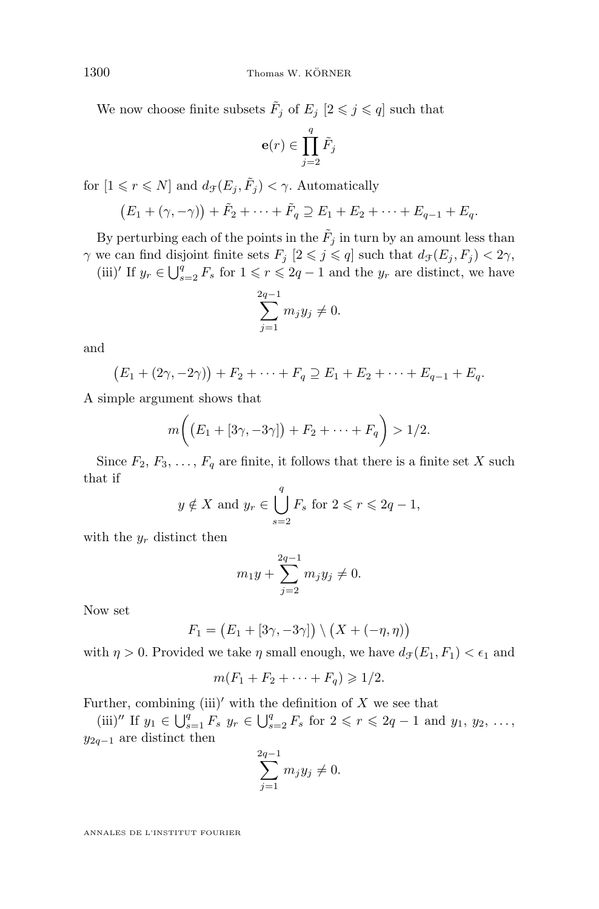We now choose finite subsets  $\tilde{F}_j$  of  $E_j$   $[2 \leq j \leq q]$  such that

$$
\mathbf{e}(r) \in \prod_{j=2}^q \tilde{F}_j
$$

for  $[1 \leq r \leq N]$  and  $d_{\mathcal{F}}(E_j, \tilde{F}_j) < \gamma$ . Automatically

$$
(E_1 + (\gamma, -\gamma)) + \tilde{F}_2 + \cdots + \tilde{F}_q \supseteq E_1 + E_2 + \cdots + E_{q-1} + E_q.
$$

By perturbing each of the points in the  $\tilde{F}_j$  in turn by an amount less than  $\gamma$  we can find disjoint finite sets  $F_j$   $[2 \leq j \leq q]$  such that  $d_{\mathcal{F}}(E_j, F_j) < 2\gamma$ ,

(iii)' If  $y_r \in \bigcup_{s=2}^q F_s$  for  $1 \leq r \leq 2q-1$  and the  $y_r$  are distinct, we have

$$
\sum_{j=1}^{2q-1} m_j y_j \neq 0.
$$

and

$$
(E_1 + (2\gamma, -2\gamma)) + F_2 + \cdots + F_q \supseteq E_1 + E_2 + \cdots + E_{q-1} + E_q.
$$

A simple argument shows that

$$
m((E_1 + [3\gamma, -3\gamma]) + F_2 + \cdots + F_q) > 1/2.
$$

Since  $F_2, F_3, \ldots, F_q$  are finite, it follows that there is a finite set X such that if

$$
y \notin X
$$
 and  $y_r \in \bigcup_{s=2}^q F_s$  for  $2 \le r \le 2q - 1$ ,

with the  $y_r$  distinct then

$$
m_1 y + \sum_{j=2}^{2q-1} m_j y_j \neq 0.
$$

Now set

$$
F_1 = (E_1 + [3\gamma, -3\gamma]) \setminus (X + (-\eta, \eta))
$$

with  $\eta > 0$ . Provided we take  $\eta$  small enough, we have  $d_{\mathcal{F}}(E_1, F_1) < \epsilon_1$  and

$$
m(F_1 + F_2 + \cdots + F_q) \geq 1/2.
$$

Further, combining (iii)' with the definition of  $X$  we see that

(iii)<sup>n</sup> If  $y_1 \in \bigcup_{s=1}^q F_s$   $y_r \in \bigcup_{s=2}^q F_s$  for  $2 \leq r \leq 2q - 1$  and  $y_1, y_2, \ldots$ ,  $y_{2q-1}$  are distinct then

$$
\sum_{j=1}^{2q-1} m_j y_j \neq 0.
$$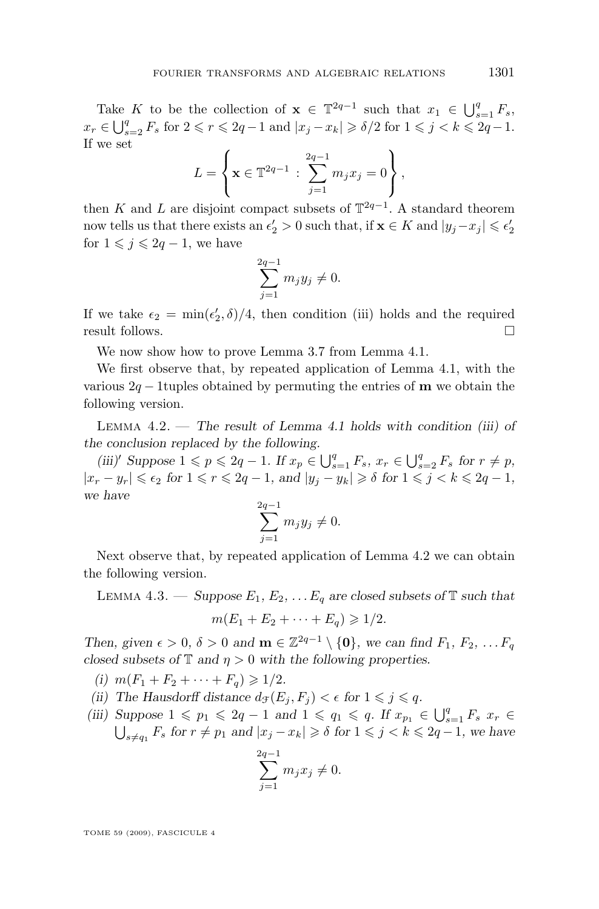<span id="page-11-0"></span>Take K to be the collection of  $\mathbf{x} \in \mathbb{T}^{2q-1}$  such that  $x_1 \in \bigcup_{s=1}^q F_s$ ,  $x_r \in \bigcup_{s=2}^q F_s$  for  $2 \leq r \leq 2q-1$  and  $|x_j - x_k| \geq \delta/2$  for  $1 \leq j < k \leq 2q-1$ . If we set

$$
L = \left\{ \mathbf{x} \in \mathbb{T}^{2q-1} : \sum_{j=1}^{2q-1} m_j x_j = 0 \right\},\,
$$

then K and L are disjoint compact subsets of  $\mathbb{T}^{2q-1}$ . A standard theorem now tells us that there exists an  $\epsilon'_2 > 0$  such that, if  $\mathbf{x} \in K$  and  $|y_j - x_j| \leqslant \epsilon'_2$ for  $1 \leq j \leq 2q - 1$ , we have

$$
\sum_{j=1}^{2q-1} m_j y_j \neq 0.
$$

If we take  $\epsilon_2 = \min(\epsilon'_2, \delta)/4$ , then condition (iii) holds and the required result follows.

We now show how to prove Lemma [3.7](#page-9-0) from Lemma [4.1.](#page-9-0)

We first observe that, by repeated application of Lemma [4.1,](#page-9-0) with the various  $2q - 1$  tuples obtained by permuting the entries of **m** we obtain the following version.

Lemma 4.2. — *The result of Lemma [4.1](#page-9-0) holds with condition (iii) of the conclusion replaced by the following.*

*(iii)*<sup> $\prime$ </sup> *Suppose* 1 ≤  $p$  ≤ 2 $q$  − 1*.* If  $x_p$  ∈  $\bigcup_{s=1}^q F_s$ ,  $x_r$  ∈  $\bigcup_{s=2}^q F_s$  for  $r \neq p$ ,  $|x_r - y_r| \leq \epsilon_2$  for  $1 \leq r \leq 2q - 1$ , and  $|y_j - y_k| \geq \delta$  for  $1 \leq j \leq k \leq 2q - 1$ , *we have*

$$
\sum_{j=1}^{2q-1} m_j y_j \neq 0.
$$

Next observe that, by repeated application of Lemma 4.2 we can obtain the following version.

LEMMA 4.3. — *Suppose*  $E_1, E_2, \ldots E_q$  are closed subsets of  $\mathbb T$  such that

$$
m(E_1+E_2+\cdots+E_q)\geqslant 1/2.
$$

*Then, given*  $\epsilon > 0$ ,  $\delta > 0$  *and*  $\mathbf{m} \in \mathbb{Z}^{2q-1} \setminus \{\mathbf{0}\}$ *, we can find*  $F_1, F_2, \ldots F_q$ *closed subsets of*  $\mathbb{T}$  *and*  $\eta > 0$  *with the following properties.* 

*(i)*  $m(F_1 + F_2 + \cdots + F_n) \geq 1/2$ .

(ii) The Hausdorff distance  $d_{\mathcal{F}}(E_i, F_i) < \epsilon$  for  $1 \leq j \leq q$ .

*(iii) Suppose*  $1 \leqslant p_1 \leqslant 2q - 1$  *and*  $1 \leqslant q_1 \leqslant q$ *. If*  $x_{p_1} \in \bigcup_{s=1}^q F_s$   $x_r$  ∈  $\bigcup_{s \neq q_1} F_s$  for  $r \neq p_1$  and  $|x_j - x_k| \geq \delta$  for  $1 \leq j \leq k \leq 2q - 1$ , we have

$$
\sum_{j=1}^{2q-1} m_j x_j \neq 0.
$$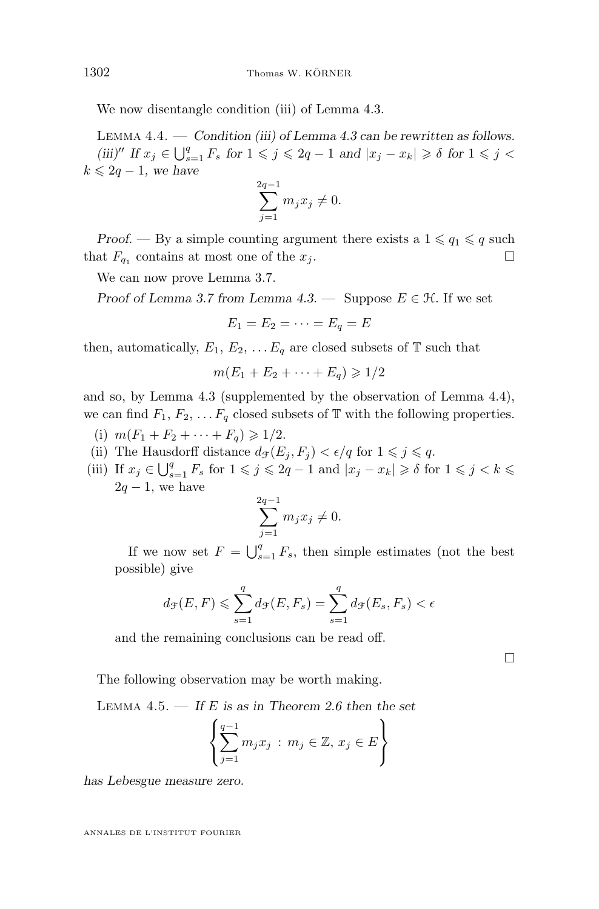We now disentangle condition (iii) of Lemma [4.3.](#page-11-0)

Lemma 4.4. — *Condition (iii) of Lemma [4.3](#page-11-0) can be rewritten as follows. (iii)*<sup> $''$ </sup> *If*  $x_j$  ∈  $\bigcup_{s=1}^q F_s$  *for*  $1 \leqslant j \leqslant 2q - 1$  *and*  $|x_j - x_k| \geqslant \delta$  *for*  $1 \leqslant j \leqslant 1$  $k \leq 2q - 1$ , we have

$$
\sum_{j=1}^{2q-1} m_j x_j \neq 0.
$$

*Proof.* — By a simple counting argument there exists a  $1 \leq q_1 \leq q$  such that  $F_{q_1}$  contains at most one of the  $x_j$ .

We can now prove Lemma [3.7.](#page-9-0)

*Proof of Lemma* [3.7](#page-9-0) *from Lemma*  $4.3$ . — Suppose  $E \in \mathcal{H}$ . If we set

$$
E_1 = E_2 = \cdots = E_q = E
$$

then, automatically,  $E_1, E_2, \ldots E_q$  are closed subsets of  $\mathbb T$  such that

 $m(E_1 + E_2 + \cdots + E_n) \geq 1/2$ 

and so, by Lemma [4.3](#page-11-0) (supplemented by the observation of Lemma 4.4), we can find  $F_1, F_2, \ldots F_q$  closed subsets of T with the following properties.

- (i)  $m(F_1 + F_2 + \cdots + F_q) \geq 1/2$ .
- (ii) The Hausdorff distance  $d_{\mathcal{F}}(E_j, F_j) < \epsilon/q$  for  $1 \leqslant j \leqslant q$ .
- (iii) If  $x_j \in \bigcup_{s=1}^q F_s$  for  $1 \leqslant j \leqslant 2q-1$  and  $|x_j x_k| \geqslant \delta$  for  $1 \leqslant j < k \leqslant 0$  $2q - 1$ , we have

$$
\sum_{j=1}^{2q-1} m_j x_j \neq 0.
$$

If we now set  $F = \bigcup_{s=1}^{q} F_s$ , then simple estimates (not the best possible) give

$$
d_{\mathcal{F}}(E, F) \leqslant \sum_{s=1}^{q} d_{\mathcal{F}}(E, F_s) = \sum_{s=1}^{q} d_{\mathcal{F}}(E_s, F_s) < \epsilon
$$

and the remaining conclusions can be read off.

 $\Box$ 

The following observation may be worth making.

Lemma 4.5. — *If* E *is as in Theorem [2.6](#page-5-0) then the set*

$$
\left\{\sum_{j=1}^{q-1} m_j x_j \, : \, m_j \in \mathbb{Z}, \, x_j \in E\right\}
$$

*has Lebesgue measure zero.*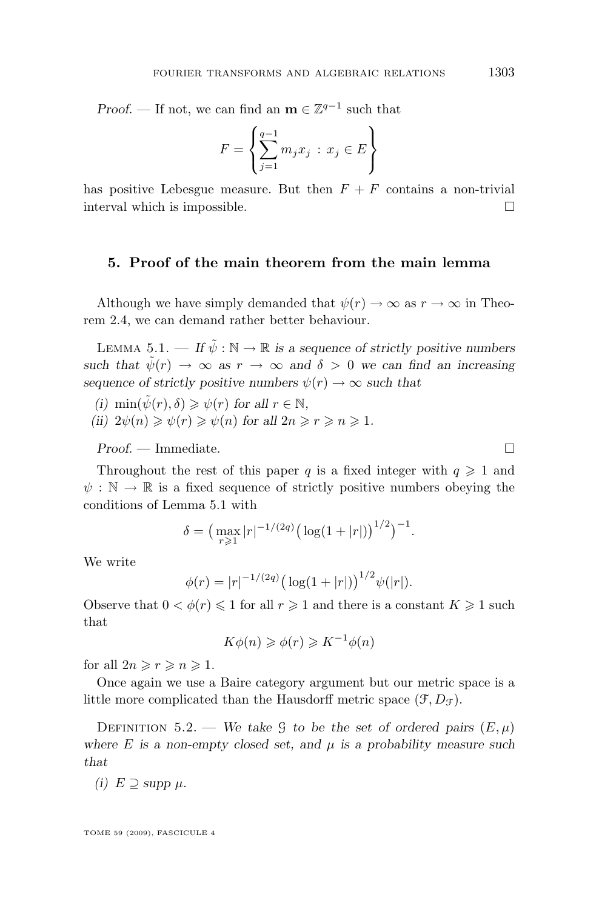<span id="page-13-0"></span>*Proof.* — If not, we can find an  $\mathbf{m} \in \mathbb{Z}^{q-1}$  such that

$$
F = \left\{ \sum_{j=1}^{q-1} m_j x_j \, : \, x_j \in E \right\}
$$

has positive Lebesgue measure. But then  $F + F$  contains a non-trivial interval which is impossible.

#### **5. Proof of the main theorem from the main lemma**

Although we have simply demanded that  $\psi(r) \to \infty$  as  $r \to \infty$  in Theorem [2.4,](#page-4-0) we can demand rather better behaviour.

LEMMA 5.1. — If  $\tilde{\psi}: \mathbb{N} \to \mathbb{R}$  is a sequence of strictly positive numbers *such that*  $\tilde{\psi}(r) \rightarrow \infty$  *as*  $r \rightarrow \infty$  *and*  $\delta > 0$  *we can find an increasing sequence of strictly positive numbers*  $\psi(r) \rightarrow \infty$  *such that* 

- *(i)*  $\min(\tilde{\psi}(r), \delta) \geq \psi(r)$  *for all*  $r \in \mathbb{N}$ *,*
- *(ii)*  $2\psi(n) \geq \psi(r) \geq \psi(n)$  *for all*  $2n \geq r \geq n \geq 1$ *.*

*Proof. —* Immediate.

Throughout the rest of this paper q is a fixed integer with  $q \ge 1$  and  $\psi : \mathbb{N} \to \mathbb{R}$  is a fixed sequence of strictly positive numbers obeying the conditions of Lemma 5.1 with

$$
\delta = \left(\max_{r\geq 1}|r|^{-1/(2q)}\left(\log(1+|r|)\right)^{1/2}\right)^{-1}.
$$

We write

$$
\phi(r) = |r|^{-1/(2q)} \big( \log(1+|r|) \big)^{1/2} \psi(|r|).
$$

Observe that  $0 < \phi(r) \leq 1$  for all  $r \geq 1$  and there is a constant  $K \geq 1$  such that

$$
K\phi(n) \geqslant \phi(r) \geqslant K^{-1}\phi(n)
$$

for all  $2n \ge r \ge n \ge 1$ .

Once again we use a Baire category argument but our metric space is a little more complicated than the Hausdorff metric space  $(\mathcal{F}, D_{\mathcal{F}})$ .

DEFINITION 5.2. — *We take* G *to be the set of ordered pairs*  $(E, \mu)$ where  $E$  *is a non-empty closed set, and*  $\mu$  *is a probability measure such that*

(i) 
$$
E \supseteq
$$
 supp  $\mu$ .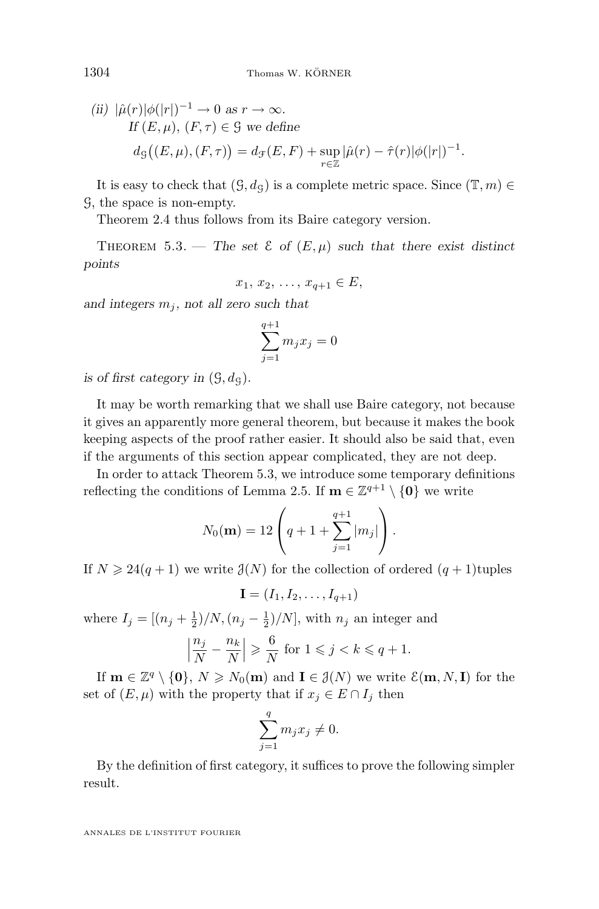(ii) 
$$
|\hat{\mu}(r)|\phi(|r|)^{-1} \to 0
$$
 as  $r \to \infty$ .  
\nIf  $(E, \mu)$ ,  $(F, \tau) \in \mathcal{G}$  we define  
\n
$$
d_{\mathcal{G}}((E, \mu), (F, \tau)) = d_{\mathcal{F}}(E, F) + \sup_{r \in \mathbb{Z}} |\hat{\mu}(r) - \hat{\tau}(r)|\phi(|r|)^{-1}.
$$

It is easy to check that  $(\mathcal{G}, d_{\mathcal{G}})$  is a complete metric space. Since  $(\mathbb{T}, m) \in$ G, the space is non-empty.

Theorem [2.4](#page-4-0) thus follows from its Baire category version.

THEOREM 5.3. — The set  $\mathcal{E}$  of  $(E, \mu)$  such that there exist distinct *points*

$$
x_1, x_2, \ldots, x_{q+1} \in E
$$

and integers  $m_i$ , not all zero such that

$$
\sum_{j=1}^{q+1} m_j x_j = 0
$$

*is of first category in*  $(\mathcal{G}, d_{\mathcal{G}})$ *.* 

It may be worth remarking that we shall use Baire category, not because it gives an apparently more general theorem, but because it makes the book keeping aspects of the proof rather easier. It should also be said that, even if the arguments of this section appear complicated, they are not deep.

In order to attack Theorem 5.3, we introduce some temporary definitions reflecting the conditions of Lemma [2.5.](#page-5-0) If  $\mathbf{m} \in \mathbb{Z}^{q+1} \setminus \{\mathbf{0}\}\$ we write

$$
N_0(\mathbf{m}) = 12 \left( q + 1 + \sum_{j=1}^{q+1} |m_j| \right).
$$

If  $N \geq 24(q+1)$  we write  $\mathcal{J}(N)$  for the collection of ordered  $(q+1)$ tuples

 $I = (I_1, I_2, \ldots, I_{q+1})$ 

where  $I_j = \left[\left(n_j + \frac{1}{2}\right)/N, \left(n_j - \frac{1}{2}\right)/N\right]$ , with  $n_j$  an integer and

$$
\left|\frac{n_j}{N} - \frac{n_k}{N}\right| \geqslant \frac{6}{N} \text{ for } 1 \leqslant j < k \leqslant q + 1.
$$

If  $\mathbf{m} \in \mathbb{Z}^q \setminus \{\mathbf{0}\}, N \geq N_0(\mathbf{m})$  and  $\mathbf{I} \in \mathcal{J}(N)$  we write  $\mathcal{E}(\mathbf{m}, N, \mathbf{I})$  for the set of  $(E, \mu)$  with the property that if  $x_j \in E \cap I_j$  then

$$
\sum_{j=1}^{q} m_j x_j \neq 0.
$$

By the definition of first category, it suffices to prove the following simpler result.

<span id="page-14-0"></span>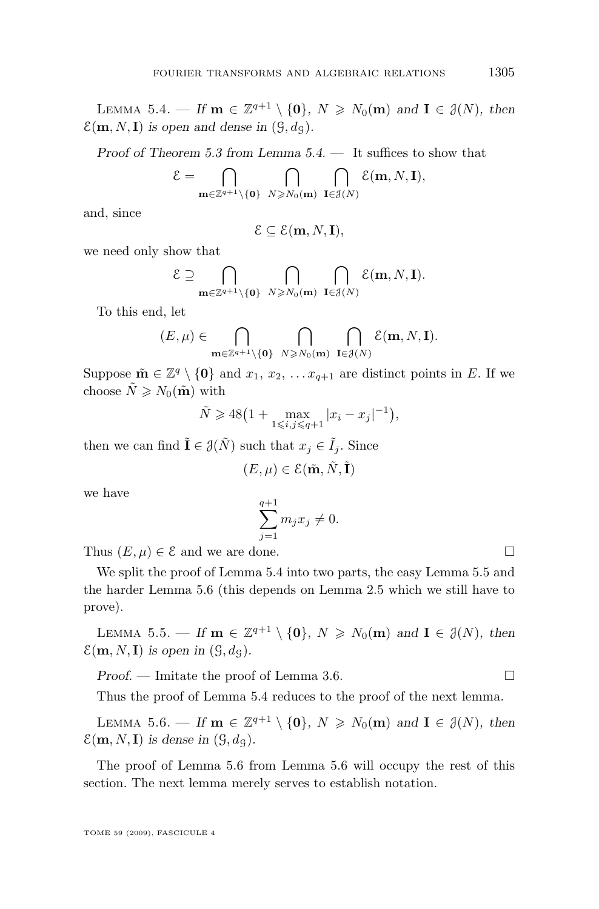<span id="page-15-0"></span>LEMMA 5.4. — If  $\mathbf{m} \in \mathbb{Z}^{q+1} \setminus \{0\}$ ,  $N \geq N_0(\mathbf{m})$  and  $\mathbf{I} \in \mathcal{J}(N)$ , then  $\mathcal{E}(\mathbf{m}, N, \mathbf{I})$  *is open and dense in*  $(\mathcal{G}, d_{\mathcal{G}})$ *.* 

*Proof of Theorem [5.3](#page-14-0) from Lemma [5.4.](#page-14-0) —* It suffices to show that

$$
\mathcal{E} = \bigcap_{\mathbf{m} \in \mathbb{Z}^{q+1} \setminus \{\mathbf{0}\}} \bigcap_{N \geqslant N_0(\mathbf{m})} \bigcap_{\mathbf{I} \in \mathcal{J}(N)} \mathcal{E}(\mathbf{m}, N, \mathbf{I}),
$$

and, since

$$
\mathcal{E} \subseteq \mathcal{E}(\mathbf{m}, N, \mathbf{I}),
$$

we need only show that

$$
\mathcal{E} \supseteq \bigcap_{\mathbf{m}\in\mathbb{Z}^{q+1}\setminus\{\mathbf{0}\}} \bigcap_{N\geqslant N_0(\mathbf{m})} \bigcap_{\mathbf{I}\in\mathcal{J}(N)} \mathcal{E}(\mathbf{m},N,\mathbf{I}).
$$

To this end, let

$$
(E,\mu)\in\bigcap_{\mathbf{m}\in\mathbb{Z}^{q+1}\backslash\{\mathbf{0}\}}\bigcap_{N\geqslant N_0(\mathbf{m})}\bigcap_{\mathbf{I}\in\mathcal{J}(N)}\mathcal{E}(\mathbf{m},N,\mathbf{I}).
$$

Suppose  $\tilde{\mathbf{m}} \in \mathbb{Z}^q \setminus \{\mathbf{0}\}\$ and  $x_1, x_2, \ldots x_{q+1}$  are distinct points in E. If we choose  $\tilde{N} \geqslant N_0(\tilde{\mathbf{m}})$  with

$$
\tilde{N} \ge 48\left(1 + \max_{1 \le i, j \le q+1} |x_i - x_j|^{-1}\right),
$$

then we can find  $\tilde{\mathbf{I}} \in \mathcal{J}(\tilde{N})$  such that  $x_j \in \tilde{I}_j$ . Since

$$
(E,\mu)\in\mathcal{E}(\tilde{\mathbf{m}},\tilde{N},\tilde{\mathbf{I}})
$$

we have

$$
\sum_{j=1}^{q+1} m_j x_j \neq 0.
$$

Thus  $(E, \mu) \in \mathcal{E}$  and we are done.

We split the proof of Lemma [5.4](#page-14-0) into two parts, the easy Lemma 5.5 and the harder Lemma 5.6 (this depends on Lemma [2.5](#page-5-0) which we still have to prove).

LEMMA 5.5. — If  $\mathbf{m} \in \mathbb{Z}^{q+1} \setminus \{0\}$ ,  $N \geq N_0(\mathbf{m})$  and  $\mathbf{I} \in \mathcal{J}(N)$ , then  $\mathcal{E}(\mathbf{m}, N, \mathbf{I})$  is open in  $(\mathcal{G}, d_{\mathcal{G}})$ .

*Proof.* — Imitate the proof of Lemma [3.6.](#page-8-0) □ Thus the proof of Lemma [5.4](#page-14-0) reduces to the proof of the next lemma.

LEMMA 5.6. — If  $\mathbf{m} \in \mathbb{Z}^{q+1} \setminus \{0\}$ ,  $N \geq N_0(\mathbf{m})$  and  $\mathbf{I} \in \mathcal{J}(N)$ , then  $\mathcal{E}(\mathbf{m}, N, \mathbf{I})$  *is dense in*  $(\mathcal{G}, d_{\mathcal{G}})$ *.* 

The proof of Lemma 5.6 from Lemma 5.6 will occupy the rest of this section. The next lemma merely serves to establish notation.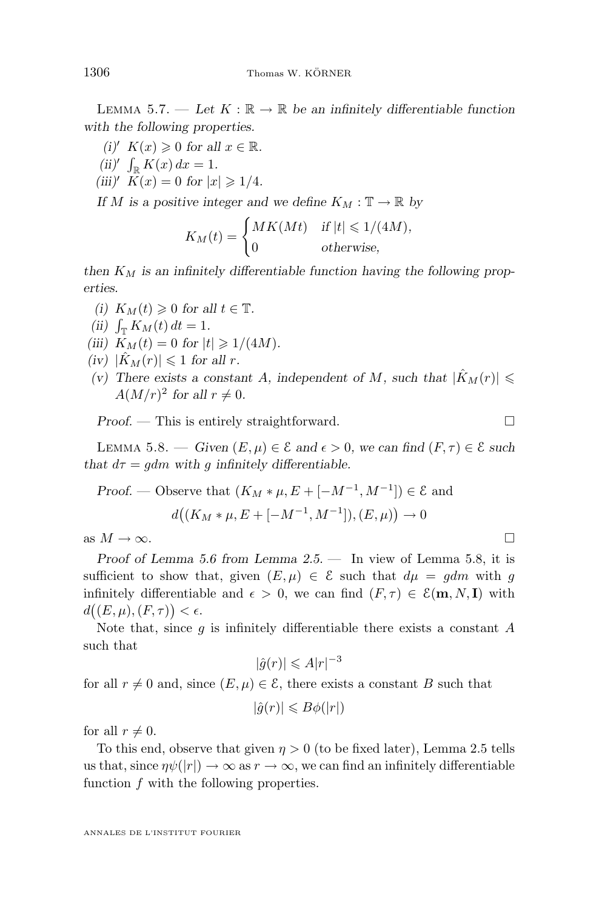LEMMA 5.7. — Let  $K : \mathbb{R} \to \mathbb{R}$  be an infinitely differentiable function *with the following properties.*

*(i)'*  $K(x) \geq 0$  *for all*  $x \in \mathbb{R}$ *.* (*ii*)'  $\int_{\mathbb{R}} K(x) dx = 1$ . *(iii)'*  $K(x) = 0$  *for*  $|x| \ge 1/4$ *.* 

*If* M is a positive integer and we define  $K_M : \mathbb{T} \to \mathbb{R}$  by

$$
K_M(t) = \begin{cases} MK(Mt) & \text{if } |t| \leq 1/(4M), \\ 0 & \text{otherwise}, \end{cases}
$$

then  $K_M$  is an infinitely differentiable function having the following prop*erties.*

- *(i)*  $K_M(t) \geq 0$  *for all*  $t \in \mathbb{T}$ *.*
- *(ii)*  $\int_{\mathbb{T}} K_M(t) dt = 1.$
- *(iii)*  $K_M(t) = 0$  *for*  $|t| \ge 1/(4M)$ *.*
- *(iv)*  $|K_M(r)| \leq 1$  *for all r.*
- *(v)* There exists a constant A, independent of M, such that  $|\hat{K}_M(r)| \leq$  $A(M/r)^2$  for all  $r \neq 0$ .

*Proof.* — This is entirely straightforward. □

LEMMA 5.8. — *Given*  $(E, \mu) \in \mathcal{E}$  and  $\epsilon > 0$ , we can find  $(F, \tau) \in \mathcal{E}$  such *that*  $d\tau = qdm$  with q infinitely differentiable.

Proof. — Observe that 
$$
(K_M * \mu, E + [-M^{-1}, M^{-1}]) \in \mathcal{E}
$$
 and  

$$
d((K_M * \mu, E + [-M^{-1}, M^{-1}]), (E, \mu)) \to 0
$$

as  $M \to \infty$ .

*Proof of Lemma [5.6](#page-15-0) from Lemma [2.5.](#page-5-0) —* In view of Lemma 5.8, it is sufficient to show that, given  $(E, \mu) \in \mathcal{E}$  such that  $d\mu = gdm$  with g infinitely differentiable and  $\epsilon > 0$ , we can find  $(F, \tau) \in \mathcal{E}(\mathbf{m}, N, \mathbf{I})$  with  $d((E,\mu),(F,\tau)) < \epsilon.$ 

Note that, since  $g$  is infinitely differentiable there exists a constant  $A$ such that

$$
|\hat{g}(r)| \leqslant A|r|^{-3}
$$

for all  $r \neq 0$  and, since  $(E, \mu) \in \mathcal{E}$ , there exists a constant B such that

$$
|\hat{g}(r)| \leq B\phi(|r|)
$$

for all  $r \neq 0$ .

To this end, observe that given  $\eta > 0$  (to be fixed later), Lemma [2.5](#page-5-0) tells us that, since  $\eta \psi(|r|) \to \infty$  as  $r \to \infty$ , we can find an infinitely differentiable function  $f$  with the following properties.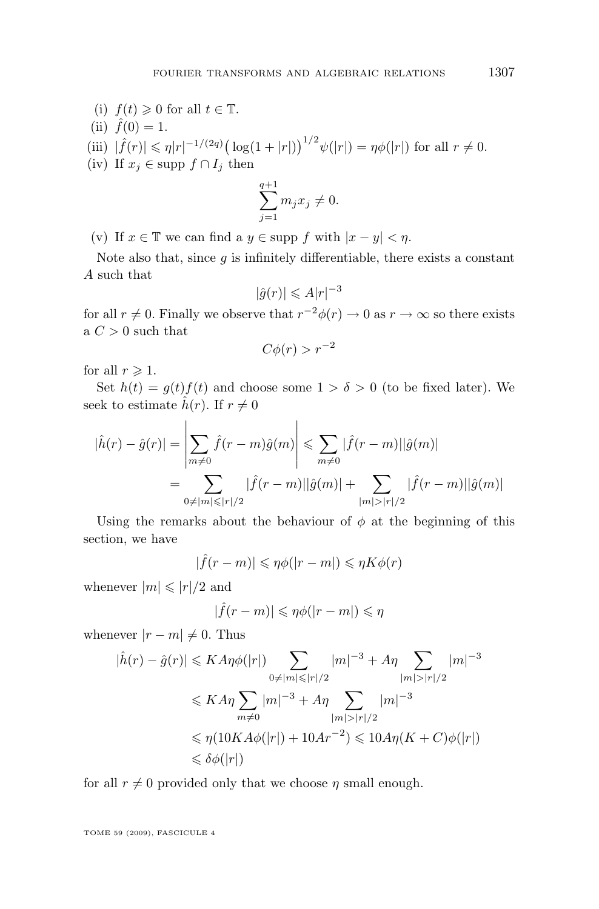- (i)  $f(t) \geqslant 0$  for all  $t \in \mathbb{T}$ . (ii)  $\hat{f}(0) = 1$ .
- (iii)  $|\hat{f}(r)| \leq \eta |r|^{-1/(2q)} (\log(1+|r|))^{1/2} \psi(|r|) = \eta \phi(|r|)$  for all  $r \neq 0$ .
- (iv) If  $x_j \in \text{supp } f \cap I_j$  then

$$
\sum_{j=1}^{q+1} m_j x_j \neq 0.
$$

(v) If  $x \in \mathbb{T}$  we can find a  $y \in \text{supp } f$  with  $|x - y| < \eta$ .

Note also that, since  $g$  is infinitely differentiable, there exists a constant A such that

$$
|\hat{g}(r)| \leqslant A|r|^{-3}
$$

for all  $r \neq 0$ . Finally we observe that  $r^{-2}\phi(r) \to 0$  as  $r \to \infty$  so there exists a  $C > 0$  such that

$$
C\phi(r) > r^{-2}
$$

for all  $r \geqslant 1$ .

Set  $h(t) = g(t) f(t)$  and choose some  $1 > \delta > 0$  (to be fixed later). We seek to estimate  $\hat{h}(r)$ . If  $r \neq 0$ 

$$
|\hat{h}(r) - \hat{g}(r)| = \left| \sum_{m \neq 0} \hat{f}(r - m)\hat{g}(m) \right| \leq \sum_{m \neq 0} |\hat{f}(r - m)||\hat{g}(m)|
$$
  
= 
$$
\sum_{0 \neq |m| \leq |r|/2} |\hat{f}(r - m)||\hat{g}(m)| + \sum_{|m| > |r|/2} |\hat{f}(r - m)||\hat{g}(m)|
$$

Using the remarks about the behaviour of  $\phi$  at the beginning of this section, we have

$$
|\hat{f}(r-m)| \leq \eta \phi(|r-m|) \leq \eta K \phi(r)
$$

whenever  $|m| \leqslant |r|/2$  and

$$
|\hat{f}(r-m)| \leq \eta \phi(|r-m|) \leq \eta
$$

whenever  $|r - m| \neq 0$ . Thus

$$
|\hat{h}(r) - \hat{g}(r)| \leq K A \eta \phi(|r|) \sum_{0 \neq |m| \leq |r|/2} |m|^{-3} + A \eta \sum_{|m| > |r|/2} |m|^{-3}
$$
  

$$
\leq K A \eta \sum_{m \neq 0} |m|^{-3} + A \eta \sum_{|m| > |r|/2} |m|^{-3}
$$
  

$$
\leq \eta (10K A \phi(|r|) + 10A r^{-2}) \leq 10A \eta (K + C) \phi(|r|)
$$
  

$$
\leq \delta \phi(|r|)
$$

for all  $r \neq 0$  provided only that we choose  $\eta$  small enough.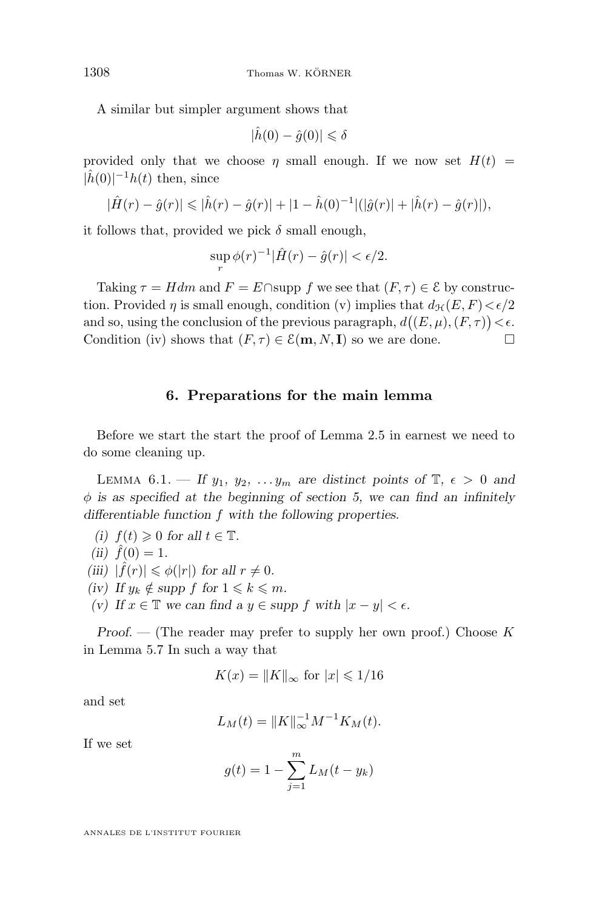<span id="page-18-0"></span>A similar but simpler argument shows that

$$
|\hat{h}(0) - \hat{g}(0)| \leq \delta
$$

provided only that we choose  $\eta$  small enough. If we now set  $H(t)$  =  $|\hat{h}(0)|^{-1}h(t)$  then, since

$$
|\hat{H}(r) - \hat{g}(r)| \leq |\hat{h}(r) - \hat{g}(r)| + |1 - \hat{h}(0)^{-1}| (|\hat{g}(r)| + |\hat{h}(r) - \hat{g}(r)|),
$$

it follows that, provided we pick  $\delta$  small enough,

$$
\sup_{r} \phi(r)^{-1} |\hat{H}(r) - \hat{g}(r)| < \epsilon/2.
$$

Taking  $\tau = Hdm$  and  $F = E \cap \text{supp } f$  we see that  $(F, \tau) \in \mathcal{E}$  by construction. Provided  $\eta$  is small enough, condition (v) implies that  $d_{\mathcal{H}}(E, F) < \epsilon/2$ and so, using the conclusion of the previous paragraph,  $d((E,\mu),(F,\tau)) < \epsilon$ . Condition (iv) shows that  $(F, \tau) \in \mathcal{E}(\mathbf{m}, N, \mathbf{I})$  so we are done.

#### **6. Preparations for the main lemma**

Before we start the start the proof of Lemma [2.5](#page-5-0) in earnest we need to do some cleaning up.

LEMMA 6.1. — If  $y_1, y_2, \ldots, y_m$  are distinct points of  $\mathbb{T}, \epsilon > 0$  and φ *is as specified at the beginning of section [5,](#page-13-0) we can find an infinitely differentiable function* f *with the following properties.*

- *(i)*  $f(t) \geq 0$  *for all*  $t \in \mathbb{T}$ *.*  $(ii) f(0) = 1.$  $(iii)$   $|\hat{f}(r)| \leq \phi(|r|)$  *for all*  $r \neq 0$ *.*
- *(iv)* If  $y_k \notin \text{supp } f$  for  $1 \leq k \leq m$ .
- *(v) If*  $x \in \mathbb{T}$  *we can find a*  $y \in \text{supp } f$  *with*  $|x y| < \epsilon$ *.*

*Proof.* — (The reader may prefer to supply her own proof.) Choose K in Lemma [5.7](#page-15-0) In such a way that

$$
K(x) = ||K||_{\infty} \text{ for } |x| \leq 1/16
$$

and set

$$
L_M(t) = ||K||_{\infty}^{-1} M^{-1} K_M(t).
$$

If we set

$$
g(t) = 1 - \sum_{j=1}^{m} L_M(t - y_k)
$$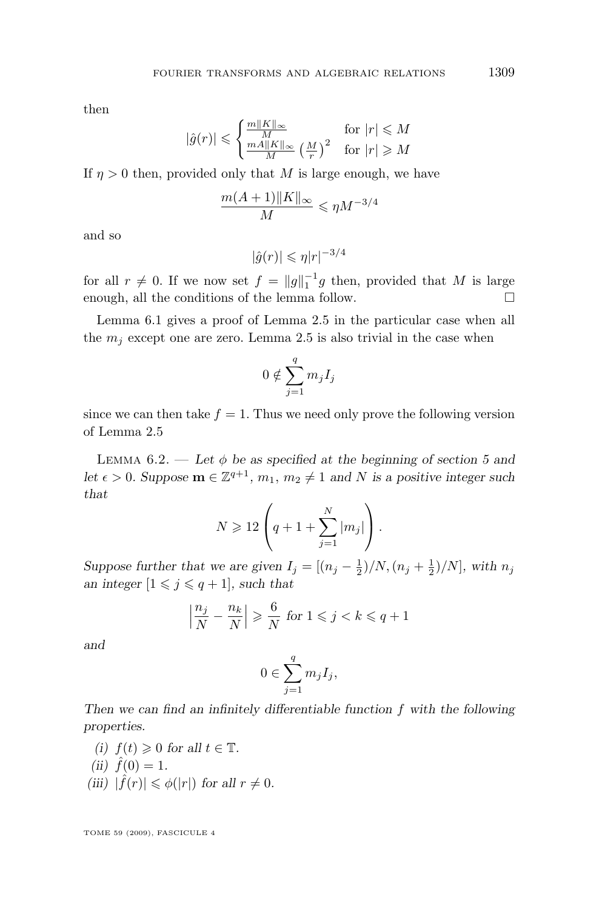<span id="page-19-0"></span>then

$$
|\hat{g}(r)| \leqslant \begin{cases} \frac{m||K||_{\infty}}{M} & \text{for } |r| \leqslant M\\ \frac{mA||K||_{\infty}}{M} \left(\frac{M}{r}\right)^2 & \text{for } |r| \geqslant M \end{cases}
$$

If  $\eta > 0$  then, provided only that M is large enough, we have

$$
\frac{m(A+1)\|K\|_{\infty}}{M} \leqslant \eta M^{-3/4}
$$

and so

$$
|\hat{g}(r)| \leqslant \eta |r|^{-3/4}
$$

for all  $r \neq 0$ . If we now set  $f = ||g||_1^{-1}g$  then, provided that M is large enough, all the conditions of the lemma follow.

Lemma [6.1](#page-18-0) gives a proof of Lemma [2.5](#page-5-0) in the particular case when all the  $m_j$  except one are zero. Lemma [2.5](#page-5-0) is also trivial in the case when

$$
0 \notin \sum_{j=1}^q m_j I_j
$$

since we can then take  $f = 1$ . Thus we need only prove the following version of Lemma [2.5](#page-5-0)

LEMMA  $6.2.$  — Let  $\phi$  be as specified at the beginning of section [5](#page-13-0) and *let*  $\epsilon > 0$ *. Suppose*  $\mathbf{m} \in \mathbb{Z}^{q+1}$ ,  $m_1, m_2 \neq 1$  *and* N *is a positive integer such that*

$$
N \geqslant 12 \left( q + 1 + \sum_{j=1}^{N} |m_j| \right).
$$

*Suppose further that we are given*  $I_j = \frac{(n_j - \frac{1}{2})}{N, (n_j + \frac{1}{2})}{N}$ *, with*  $n_j$ *an integer*  $[1 \leq j \leq q+1]$ *, such that* 

$$
\left|\frac{n_j}{N} - \frac{n_k}{N}\right| \geqslant \frac{6}{N} \text{ for } 1 \leqslant j < k \leqslant q + 1
$$

*and*

$$
0\in \sum_{j=1}^q m_jI_j,
$$

*Then we can find an infinitely differentiable function* f *with the following properties.*

*(i)*  $f(t) \geq 0$  *for all*  $t \in \mathbb{T}$ *.*  $(ii) \hat{f}(0) = 1.$  $(iii)$   $|\hat{f}(r)| \leq \phi(|r|)$  *for all*  $r \neq 0$ *.*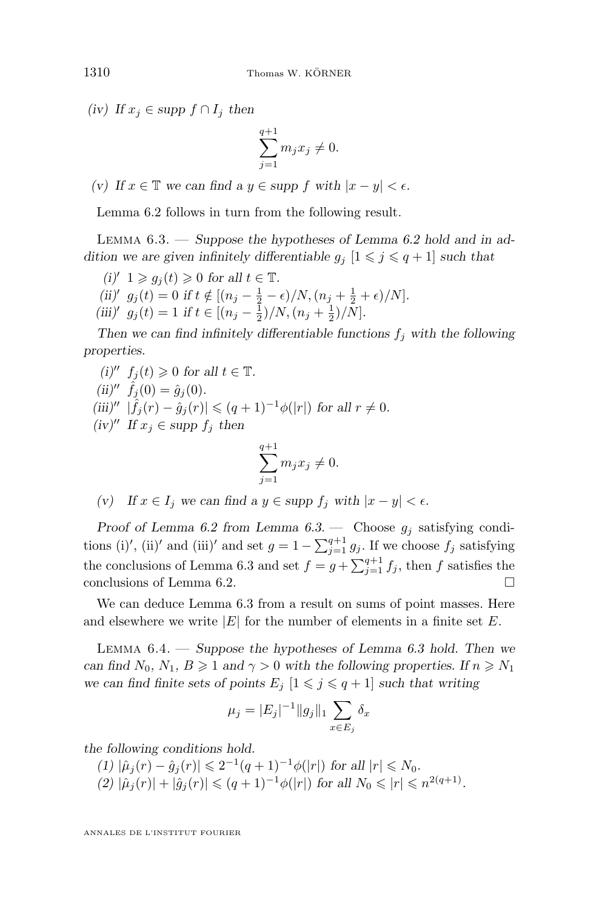*(iv) If*  $x_j$  ∈ *supp*  $f ∩ I_j$  *then* 

$$
\sum_{j=1}^{q+1} m_j x_j \neq 0.
$$

*(v) If*  $x \in \mathbb{T}$  *we can find a*  $y \in \text{supp } f$  *with*  $|x - y| < \epsilon$ *.* 

Lemma [6.2](#page-19-0) follows in turn from the following result.

Lemma 6.3. — *Suppose the hypotheses of Lemma [6.2](#page-19-0) hold and in addition we are given infinitely differentiable*  $g_j$   $[1 \leq j \leq q+1]$  *such that* 

- $(i)' 1 \geq g_i(t) \geq 0$  for all  $t \in \mathbb{T}$ .
- (*ii*)<sup>'</sup>  $g_j(t) = 0$  *if*  $t \notin [(n_j \frac{1}{2} \epsilon)/N, (n_j + \frac{1}{2} + \epsilon)/N]$ *.*
- (*iii*)<sup> $\prime$ </sup>  $g_j(t) = 1$  *if*  $t \in [(n_j \frac{1}{2})/N, (n_j + \frac{1}{2})/N]$ .

Then we can find infinitely differentiable functions  $f_i$  with the following *properties.*

\n- (i)' 
$$
f_j(t) \geq 0
$$
 for all  $t \in \mathbb{T}$ .
\n- (ii)''  $\hat{f}_j(0) = \hat{g}_j(0)$ .
\n- (iii)''  $|\hat{f}_j(r) - \hat{g}_j(r)| \leq (q+1)^{-1}\phi(|r|)$  for all  $r \neq 0$ .
\n- (iv)'' If  $x_j \in \text{supp } f_j$  then
\n

$$
\sum_{j=1}^{q+1} m_j x_j \neq 0.
$$

*(v)* If  $x \in I_i$  we can find a  $y \in \text{supp } f_i$  with  $|x - y| < \epsilon$ .

*Proof of Lemma [6.2](#page-19-0) from Lemma*  $6.3$ *. — Choose*  $g_i$  *satisfying condi*tions (i)', (ii)' and (iii)' and set  $g = 1 - \sum_{j=1}^{q+1} g_j$ . If we choose  $f_j$  satisfying the conclusions of Lemma 6.3 and set  $f = g + \sum_{j=1}^{q+1} f_j$ , then f satisfies the conclusions of Lemma [6.2.](#page-19-0)

We can deduce Lemma 6.3 from a result on sums of point masses. Here and elsewhere we write  $|E|$  for the number of elements in a finite set E.

Lemma 6.4. — *Suppose the hypotheses of Lemma 6.3 hold. Then we can find*  $N_0$ ,  $N_1$ ,  $B \ge 1$  *and*  $\gamma > 0$  *with the following properties. If*  $n \ge N_1$ *we can find finite sets of points*  $E_j$   $[1 \leq j \leq q+1]$  *such that writing* 

$$
\mu_j = |E_j|^{-1} \|g_j\|_1 \sum_{x \in E_j} \delta_x
$$

*the following conditions hold.*

 $(1)$   $|\hat{\mu}_j(r) - \hat{g}_j(r)| \leq 2^{-1}(q+1)^{-1}\phi(|r|)$  for all  $|r| \leq N_0$ .  $(2)$   $|\hat{\mu}_j(r)| + |\hat{g}_j(r)| \leq (q+1)^{-1}\phi(|r|)$  for all  $N_0 \leq r \leq n^{2(q+1)}$ .

<span id="page-20-0"></span>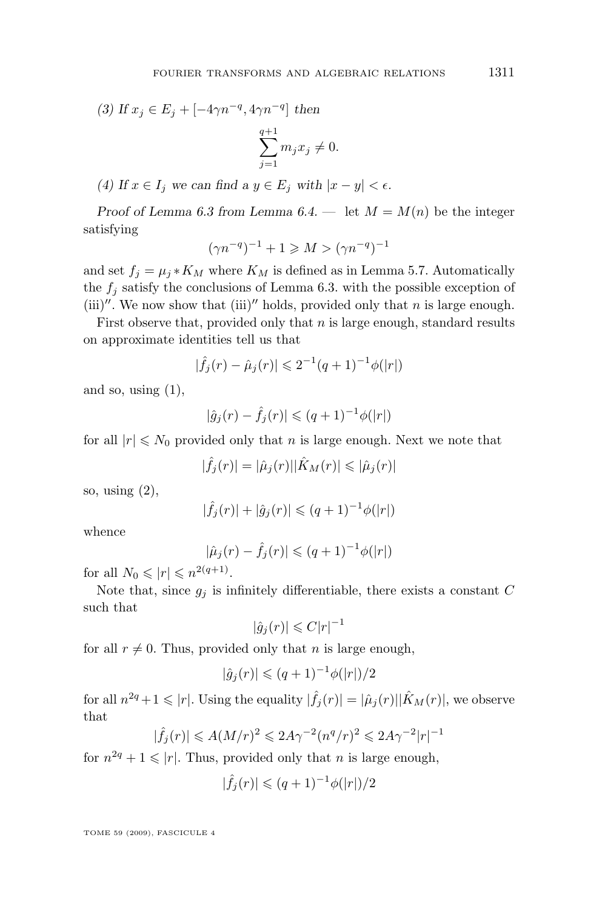*(3) If*  $x_j$  ∈  $E_j$  +  $[-4\gamma n^{-q}, 4\gamma n^{-q}]$  *then* 

$$
\sum_{j=1}^{q+1} m_j x_j \neq 0.
$$

*(4)* If  $x \in I_j$  we can find a  $y \in E_j$  with  $|x - y| < \epsilon$ .

*Proof of Lemma [6.3](#page-20-0) from Lemma [6.4.](#page-20-0)* — let  $M = M(n)$  be the integer satisfying

$$
(\gamma n^{-q})^{-1} + 1 \geq M > (\gamma n^{-q})^{-1}
$$

and set  $f_i = \mu_i * K_M$  where  $K_M$  is defined as in Lemma [5.7.](#page-15-0) Automatically the  $f_j$  satisfy the conclusions of Lemma [6.3.](#page-20-0) with the possible exception of (iii)". We now show that (iii)" holds, provided only that n is large enough.

First observe that, provided only that  $n$  is large enough, standard results on approximate identities tell us that

$$
|\hat{f}_j(r) - \hat{\mu}_j(r)| \leq 2^{-1}(q+1)^{-1}\phi(|r|)
$$

and so, using  $(1)$ ,

$$
|\hat{g}_j(r) - \hat{f}_j(r)| \leq (q+1)^{-1} \phi(|r|)
$$

for all  $|r| \leq N_0$  provided only that n is large enough. Next we note that

 $|\hat{f}_j(r)| = |\hat{\mu}_j(r)| |\hat{K}_M(r)| \leq |\hat{\mu}_j(r)|$ 

so, using  $(2)$ ,

$$
|\hat{f}_j(r)| + |\hat{g}_j(r)| \leq (q+1)^{-1}\phi(|r|)
$$

whence

$$
|\hat{\mu}_j(r) - \hat{f}_j(r)| \leq (q+1)^{-1} \phi(|r|)
$$

for all  $N_0 \leqslant |r| \leqslant n^{2(q+1)}$ .

Note that, since  $g_j$  is infinitely differentiable, there exists a constant C such that

$$
|\hat{g}_j(r)| \leqslant C |r|^{-1}
$$

for all  $r \neq 0$ . Thus, provided only that n is large enough,

$$
|\hat{g}_j(r)| \leq (q+1)^{-1} \phi(|r|)/2
$$

for all  $n^{2q}+1 \leqslant |r|$ . Using the equality  $|\hat{f}_j(r)| = |\hat{\mu}_j(r)| |\hat{K}_M(r)|$ , we observe that

$$
\hat{f}_j(r)| \leqslant A(M/r)^2 \leqslant 2A\gamma^{-2}(n^q/r)^2 \leqslant 2A\gamma^{-2}|r|^{-1}
$$

for  $n^{2q} + 1 \leq r$ . Thus, provided only that *n* is large enough,

$$
|\hat{f}_j(r)| \leq (q+1)^{-1} \phi(|r|)/2
$$

TOME 59 (2009), FASCICULE 4

|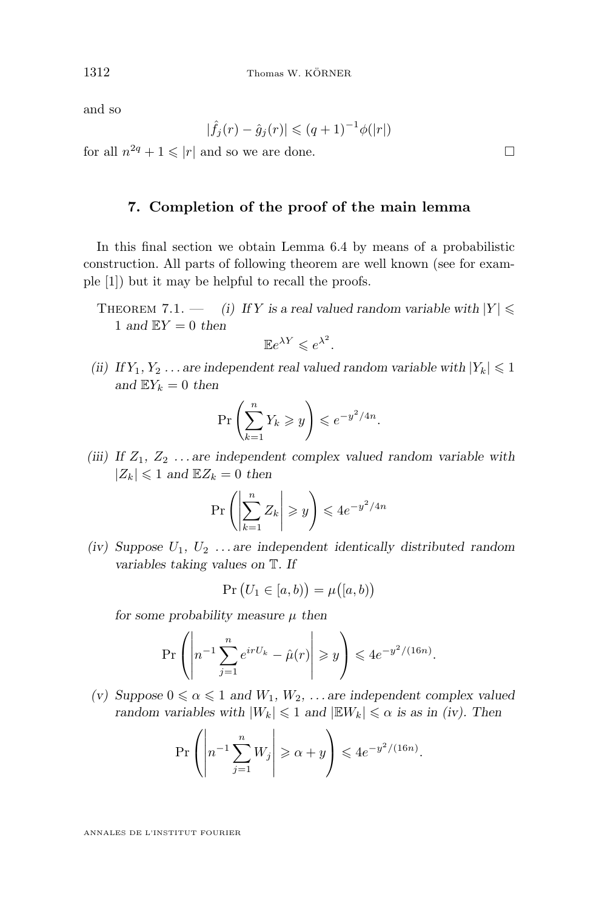<span id="page-22-0"></span>and so

$$
|\hat{f}_j(r) - \hat{g}_j(r)| \leq (q+1)^{-1} \phi(|r|)
$$

for all  $n^{2q} + 1 \le |r|$  and so we are done.

#### **7. Completion of the proof of the main lemma**

In this final section we obtain Lemma [6.4](#page-20-0) by means of a probabilistic construction. All parts of following theorem are well known (see for example [\[1\]](#page-28-0)) but it may be helpful to recall the proofs.

THEOREM 7.1. — *(i)* If Y is a real valued random variable with  $|Y| \le$ 1 and  $EY = 0$  then

$$
\mathbb{E}e^{\lambda Y} \leqslant e^{\lambda^2}.
$$

*(ii)* If  $Y_1, Y_2, \ldots$  are independent real valued random variable with  $|Y_k| \leq 1$ and  $\mathbb{E}Y_k = 0$  then

$$
\Pr\left(\sum_{k=1}^n Y_k \geqslant y\right) \leqslant e^{-y^2/4n}.
$$

*(iii)* If  $Z_1, Z_2, \ldots$  are independent complex valued random variable with  $|Z_k| \leq 1$  and  $\mathbb{E}Z_k = 0$  then

$$
\Pr\left(\left|\sum_{k=1}^n Z_k\right| \geqslant y\right) \leqslant 4e^{-y^2/4n}
$$

*(iv) Suppose*  $U_1, U_2, \ldots$  *are independent identically distributed random variables taking values on* T*. If*

$$
\Pr\big(U_1 \in [a, b)\big) = \mu\big([a, b)\big)
$$

*for some probability measure*  $\mu$  *then* 

$$
\Pr\left(\left|n^{-1}\sum_{j=1}^n e^{irU_k} - \hat{\mu}(r)\right| \geqslant y\right) \leqslant 4e^{-y^2/(16n)}.
$$

*(v) Suppose*  $0 \le \alpha \le 1$  *and*  $W_1, W_2, \ldots$  *are independent complex valued random variables with*  $|W_k| \leq 1$  *and*  $|EW_k| \leq \alpha$  *is as in (iv). Then* 

$$
\Pr\left(\left|n^{-1}\sum_{j=1}^n W_j\right|\geqslant \alpha+y\right)\leqslant 4e^{-y^2/(16n)}.
$$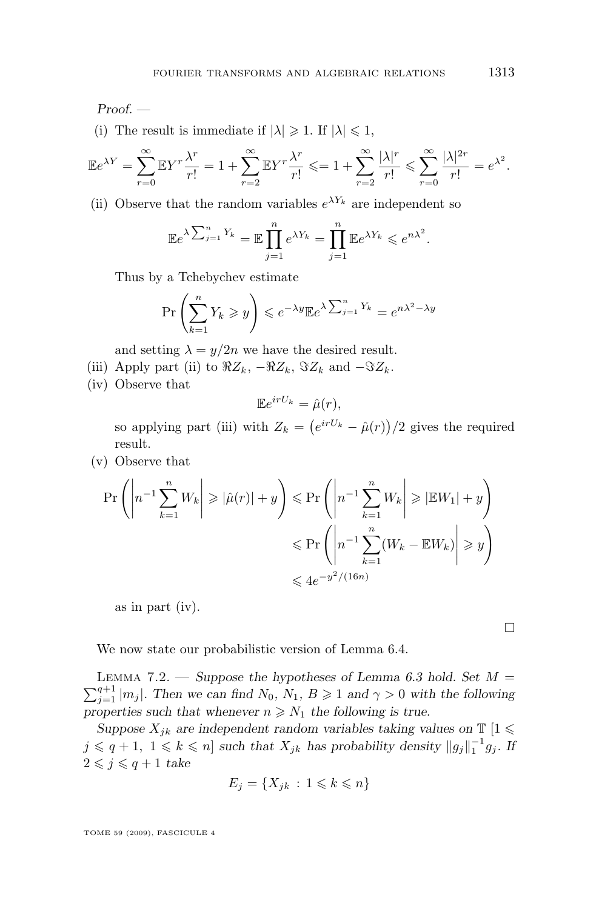<span id="page-23-0"></span>*Proof. —*

(i) The result is immediate if  $|\lambda| \geq 1$ . If  $|\lambda| \leq 1$ ,

$$
\mathbb{E}e^{\lambda Y} = \sum_{r=0}^{\infty} \mathbb{E}Y^r \frac{\lambda^r}{r!} = 1 + \sum_{r=2}^{\infty} \mathbb{E}Y^r \frac{\lambda^r}{r!} \leq 1 + \sum_{r=2}^{\infty} \frac{|\lambda|^r}{r!} \leq \sum_{r=0}^{\infty} \frac{|\lambda|^{2r}}{r!} = e^{\lambda^2}.
$$

(ii) Observe that the random variables  $e^{\lambda Y_k}$  are independent so

$$
\mathbb{E}e^{\lambda \sum_{j=1}^{n} Y_k} = \mathbb{E} \prod_{j=1}^{n} e^{\lambda Y_k} = \prod_{j=1}^{n} \mathbb{E}e^{\lambda Y_k} \leqslant e^{n\lambda^2}.
$$

Thus by a Tchebychev estimate

$$
\Pr\left(\sum_{k=1}^{n} Y_k \geqslant y\right) \leqslant e^{-\lambda y} \mathbb{E} e^{\lambda \sum_{j=1}^{n} Y_k} = e^{n\lambda^2 - \lambda y}
$$

and setting  $\lambda = y/2n$  we have the desired result.

- (iii) Apply part (ii) to  $\Re Z_k$ ,  $-\Re Z_k$ ,  $\Im Z_k$  and  $-\Im Z_k$ .
- (iv) Observe that

$$
\mathbb{E}e^{irU_k} = \hat{\mu}(r),
$$

so applying part (iii) with  $Z_k = (e^{irU_k} - \hat{\mu}(r))/2$  gives the required result.

(v) Observe that

$$
\Pr\left(\left|n^{-1}\sum_{k=1}^{n}W_k\right| \geqslant |\hat{\mu}(r)|+y\right) \leqslant \Pr\left(\left|n^{-1}\sum_{k=1}^{n}W_k\right| \geqslant |\mathbb{E}W_1|+y\right)
$$

$$
\leqslant \Pr\left(\left|n^{-1}\sum_{k=1}^{n}(W_k - \mathbb{E}W_k)\right| \geqslant y\right)
$$

$$
\leqslant 4e^{-y^2/(16n)}
$$

as in part (iv).

We now state our probabilistic version of Lemma [6.4.](#page-20-0)

LEMMA 7.2. — *Suppose the hypotheses of Lemma [6.3](#page-20-0) hold. Set*  $M =$  $\sum_{j=1}^{q+1} |m_j|$ . Then we can find  $N_0$ ,  $N_1$ ,  $B \geq 1$  and  $\gamma > 0$  with the following properties such that whenever  $n \geq N_1$  the following is true.

*Suppose*  $X_{ik}$  *are independent random variables taking values on*  $\mathbb{T}$  [1  $\leq$  $j \leqslant q+1, \ 1 \leqslant k \leqslant n$  *such that*  $X_{jk}$  *has probability density*  $||g_j||_1^{-1}g_j$ . If  $2 \leqslant j \leqslant q+1$  *take* 

$$
E_j = \{ X_{jk} : 1 \leq k \leq n \}
$$

TOME 59 (2009), FASCICULE 4

 $\Box$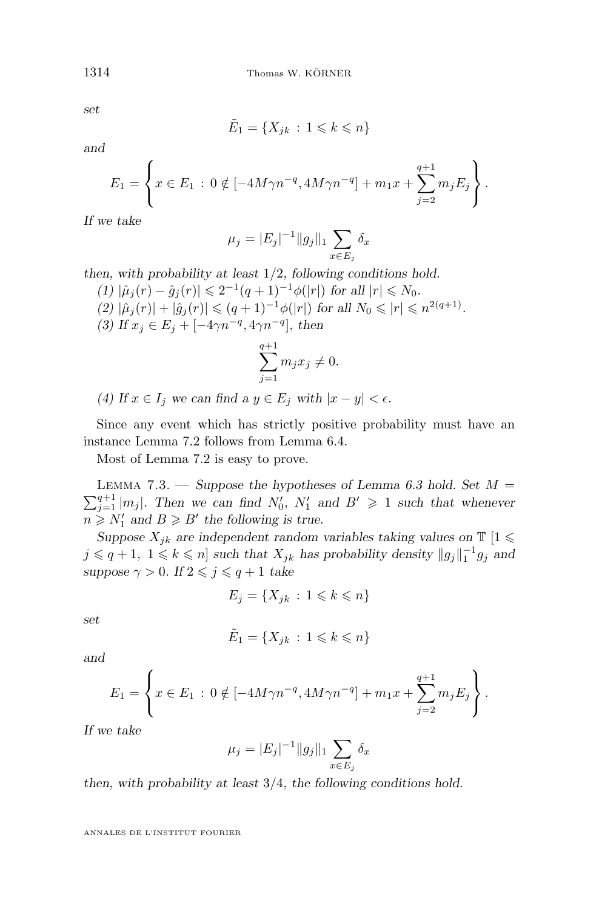*set*

$$
\tilde{E}_1 = \{ X_{jk} \, : \, 1 \leq k \leq n \}
$$

*and*

$$
E_1 = \left\{ x \in E_1 : 0 \notin [-4M\gamma n^{-q}, 4M\gamma n^{-q}] + m_1 x + \sum_{j=2}^{q+1} m_j E_j \right\}.
$$

*If we take*

$$
\mu_j = |E_j|^{-1} \|g_j\|_1 \sum_{x \in E_j} \delta_x
$$

*then, with probability at least* 1/2*, following conditions hold.*

(1) 
$$
|\hat{\mu}_j(r) - \hat{g}_j(r)| \leq 2^{-1}(q+1)^{-1}\phi(|r|)
$$
 for all  $|r| \leq N_0$ .  
\n(2)  $|\hat{\mu}_j(r)| + |\hat{g}_j(r)| \leq (q+1)^{-1}\phi(|r|)$  for all  $N_0 \leq |r| \leq n^{2(q+1)}$ .  
\n(3) If  $x_j \in E_j + [-4\gamma n^{-q}, 4\gamma n^{-q}]$ , then

$$
\sum_{j=1}^{q+1} m_j x_j \neq 0.
$$

*(4)* If  $x \in I_j$  we can find a  $y \in E_j$  with  $|x - y| < \epsilon$ .

Since any event which has strictly positive probability must have an instance Lemma [7.2](#page-23-0) follows from Lemma [6.4.](#page-20-0)

Most of Lemma [7.2](#page-23-0) is easy to prove.

Lemma 7.3. — *Suppose the hypotheses of Lemma [6.3](#page-20-0) hold. Set* M =  $\sum_{j=1}^{q+1} |m_j|$ . Then we can find  $N'_0$ ,  $N'_1$  and  $B' \geq 1$  such that whenever  $n \ge N'_1$  and  $B \ge B'$  the following is true.

*Suppose*  $X_{jk}$  *are independent random variables taking values on*  $\mathbb{T}$  [1  $\leq$  $j \leqslant q+1, \ 1 \leqslant k \leqslant n$  *such that*  $X_{jk}$  *has probability density*  $||g_j||_1^{-1}g_j$  *and suppose*  $\gamma > 0$ *. If*  $2 \leq j \leq q + 1$  *take* 

$$
E_j = \{ X_{jk} : 1 \leq k \leq n \}
$$

*set*

$$
\tilde{E}_1 = \{X_{jk} \,:\, 1 \leqslant k \leqslant n\}
$$

*and*

$$
E_1 = \left\{ x \in E_1 : 0 \notin [-4M\gamma n^{-q}, 4M\gamma n^{-q}] + m_1 x + \sum_{j=2}^{q+1} m_j E_j \right\}.
$$

*If we take*

$$
\mu_j = |E_j|^{-1} \|g_j\|_1 \sum_{x \in E_j} \delta_x
$$

*then, with probability at least* 3/4*, the following conditions hold.*

<span id="page-24-0"></span>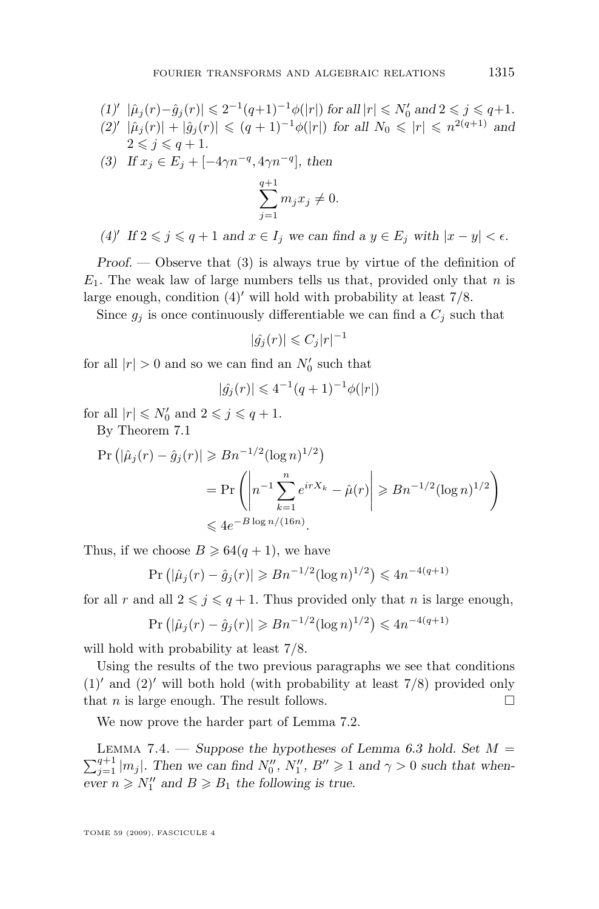- $(1)'$   $|\hat{\mu}_j(r)-\hat{g}_j(r)| \leqslant 2^{-1}(q+1)^{-1}\phi(|r|)$  for all  $|r| \leqslant N'_0$  and  $2 \leqslant j \leqslant q+1$ *.*
- $(2)' |\hat{\mu}_j(r)| + |\hat{g}_j(r)| \leq (q+1)^{-1} \phi(|r|)$  *for all*  $N_0 \leq r \leq n^{2(q+1)}$  *and*  $2 \leq i \leq q+1$ . *(3) If*  $x_j \text{ ∈ } E_j + [-4\gamma n^{-q}, 4\gamma n^{-q}],$  then  $\sum^{q+1}$  $j=1$  $m_jx_j\neq 0.$

*(4)*<sup>*I*</sup> If  $2 \le j \le q + 1$  *and*  $x \in I_j$  *we can find a*  $y \in E_j$  *with*  $|x - y| < \epsilon$ *.* 

*Proof. —* Observe that (3) is always true by virtue of the definition of  $E_1$ . The weak law of large numbers tells us that, provided only that n is large enough, condition  $(4)'$  will hold with probability at least  $7/8$ .

Since  $g_j$  is once continuously differentiable we can find a  $C_j$  such that

$$
|\hat{g_j}(r)| \leqslant C_j |r|^{-1}
$$

for all  $|r| > 0$  and so we can find an  $N'_0$  such that

$$
|\hat{g}_j(r)| \leq 4^{-1}(q+1)^{-1}\phi(|r|)
$$

for all  $|r| \le N'_0$  and  $2 \le j \le q+1$ .

By Theorem [7.1](#page-22-0)

$$
\Pr\left(|\hat{\mu}_j(r) - \hat{g}_j(r)| \ge Bn^{-1/2}(\log n)^{1/2}\right)
$$
  
= 
$$
\Pr\left(\left|n^{-1}\sum_{k=1}^n e^{irX_k} - \hat{\mu}(r)\right| \ge Bn^{-1/2}(\log n)^{1/2}\right)
$$
  
\$\le A e^{-B \log n/(16n)}.\$

Thus, if we choose  $B \ge 64(q+1)$ , we have

$$
Pr (|\hat{\mu}_j(r) - \hat{g}_j(r)| \geq Bn^{-1/2} (\log n)^{1/2}) \leq 4n^{-4(q+1)}
$$

for all r and all  $2 \leq j \leq q+1$ . Thus provided only that n is large enough,

$$
Pr (|\hat{\mu}_j(r) - \hat{g}_j(r)| \ge Rn^{-1/2} (\log n)^{1/2}) \le 4n^{-4(q+1)}
$$

will hold with probability at least 7/8.

Using the results of the two previous paragraphs we see that conditions  $(1)'$  and  $(2)'$  will both hold (with probability at least 7/8) provided only that *n* is large enough. The result follows.

We now prove the harder part of Lemma [7.2.](#page-23-0)

LEMMA 7.4. — *Suppose the hypotheses of Lemma [6.3](#page-20-0) hold. Set*  $M =$  $\sum_{j=1}^{q+1} |m_j|$ . Then we can find  $N_0'', N_1'', B'' \geq 1$  and  $\gamma > 0$  such that when $e^{i\theta}$  *ever*  $n \ge N_1''$  and  $B \ge B_1$  the following is true.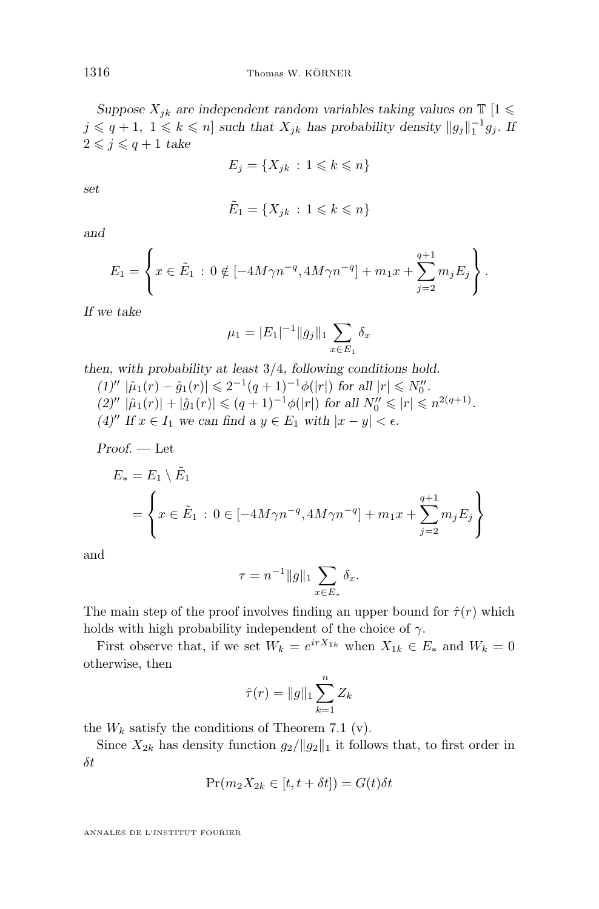*Suppose*  $X_{jk}$  *are independent random variables taking values on*  $\mathbb{T}$  [1  $\leq$  $j \leqslant q+1, \ 1 \leqslant k \leqslant n$  *such that*  $X_{jk}$  *has probability density*  $||g_j||_1^{-1}g_j$ . If  $2 \leq j \leq q+1$  *take* 

$$
E_j = \{ X_{jk} : 1 \leq k \leq n \}
$$

*set*

$$
\tilde{E}_1 = \{ X_{jk} \, : \, 1 \leq k \leq n \}
$$

*and*

$$
E_1 = \left\{ x \in \tilde{E}_1 : 0 \notin [-4M\gamma n^{-q}, 4M\gamma n^{-q}] + m_1 x + \sum_{j=2}^{q+1} m_j E_j \right\}.
$$

*If we take*

$$
\mu_1 = |E_1|^{-1} \|g_j\|_1 \sum_{x \in E_1} \delta_x
$$

*then, with probability at least* 3/4*, following conditions hold.*

 $(1)'' |\hat{\mu}_1(r) - \hat{g}_1(r)| \leq 2^{-1}(q+1)^{-1}\phi(|r|)$  for all  $|r| \leq N_0''$ .  $(2)'' |\hat{\mu}_1(r)| + |\hat{g}_1(r)| \leq (q+1)^{-1} \phi(|r|)$  *for all*  $N_0'' \leq r \leq n^{2(q+1)}$ *. (4)*<sup>*II*</sup> *If*  $x \in I_1$  *we can find a*  $y \in E_1$  *with*  $|x - y| < \epsilon$ *.* 

*Proof. —* Let

$$
E_* = E_1 \setminus \tilde{E}_1
$$
  
= 
$$
\left\{ x \in \tilde{E}_1 : 0 \in [-4M\gamma n^{-q}, 4M\gamma n^{-q}] + m_1 x + \sum_{j=2}^{q+1} m_j E_j \right\}
$$

and

$$
\tau = n^{-1} \|g\|_1 \sum_{x \in E_*} \delta_x.
$$

The main step of the proof involves finding an upper bound for  $\hat{\tau}(r)$  which holds with high probability independent of the choice of  $\gamma$ .

First observe that, if we set  $W_k = e^{irX_{1k}}$  when  $X_{1k} \in E_*$  and  $W_k = 0$ otherwise, then

$$
\hat{\tau}(r) = \|g\|_1 \sum_{k=1}^n Z_k
$$

the  $W_k$  satisfy the conditions of Theorem [7.1](#page-22-0) (v).

Since  $X_{2k}$  has density function  $g_2/||g_2||_1$  it follows that, to first order in δt

$$
Pr(m_2X_{2k} \in [t, t + \delta t]) = G(t)\delta t
$$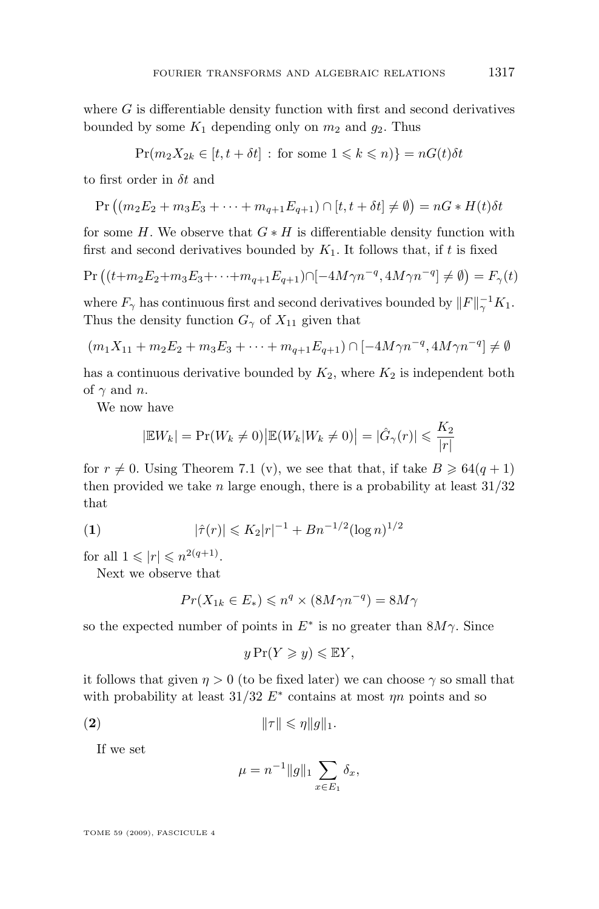where  $G$  is differentiable density function with first and second derivatives bounded by some  $K_1$  depending only on  $m_2$  and  $q_2$ . Thus

$$
Pr(m_2 X_{2k} \in [t, t + \delta t] : \text{ for some } 1 \leq k \leq n) = nG(t)\delta t
$$

to first order in  $\delta t$  and

$$
\Pr\left((m_2E_2+m_3E_3+\cdots+m_{q+1}E_{q+1})\cap[t,t+\delta t]\neq\emptyset\right)=nG*H(t)\delta t
$$

for some H. We observe that  $G * H$  is differentiable density function with first and second derivatives bounded by  $K_1$ . It follows that, if t is fixed

$$
\Pr\left((t+m_2E_2+m_3E_3+\cdots+m_{q+1}E_{q+1})\cap[-4M\gamma n^{-q},4M\gamma n^{-q}]\neq\emptyset\right)=F_{\gamma}(t)
$$

where  $F_{\gamma}$  has continuous first and second derivatives bounded by  $||F||_{\gamma}^{-1}K_1$ . Thus the density function  $G_{\gamma}$  of  $X_{11}$  given that

$$
(m_1X_{11} + m_2E_2 + m_3E_3 + \dots + m_{q+1}E_{q+1}) \cap [-4M\gamma n^{-q}, 4M\gamma n^{-q}] \neq \emptyset
$$

has a continuous derivative bounded by  $K_2$ , where  $K_2$  is independent both of  $\gamma$  and n.

We now have

$$
|\mathbb{E}W_k| = \Pr(W_k \neq 0) \big| \mathbb{E}(W_k|W_k \neq 0) \big| = |\hat{G}_{\gamma}(r)| \leqslant \frac{K_2}{|r|}
$$

for  $r \neq 0$ . Using Theorem [7.1](#page-22-0) (v), we see that that, if take  $B \geq 64(q + 1)$ then provided we take *n* large enough, there is a probability at least  $31/32$ that

(1) 
$$
|\hat{\tau}(r)| \leqslant K_2 |r|^{-1} + B n^{-1/2} (\log n)^{1/2}
$$

for all  $1 \leqslant |r| \leqslant n^{2(q+1)}$ .

Next we observe that

$$
Pr(X_{1k} \in E_*) \leqslant n^q \times (8M\gamma n^{-q}) = 8M\gamma
$$

so the expected number of points in  $E^*$  is no greater than  $8M\gamma$ . Since

$$
y\Pr(Y \geq y) \leq \mathbb{E}Y,
$$

it follows that given  $\eta > 0$  (to be fixed later) we can choose  $\gamma$  so small that with probability at least  $31/32 E^*$  contains at most  $\eta n$  points and so

$$
\|\tau\| \leqslant \eta \|g\|_1.
$$

If we set

$$
\mu = n^{-1} \|g\|_1 \sum_{x \in E_1} \delta_x,
$$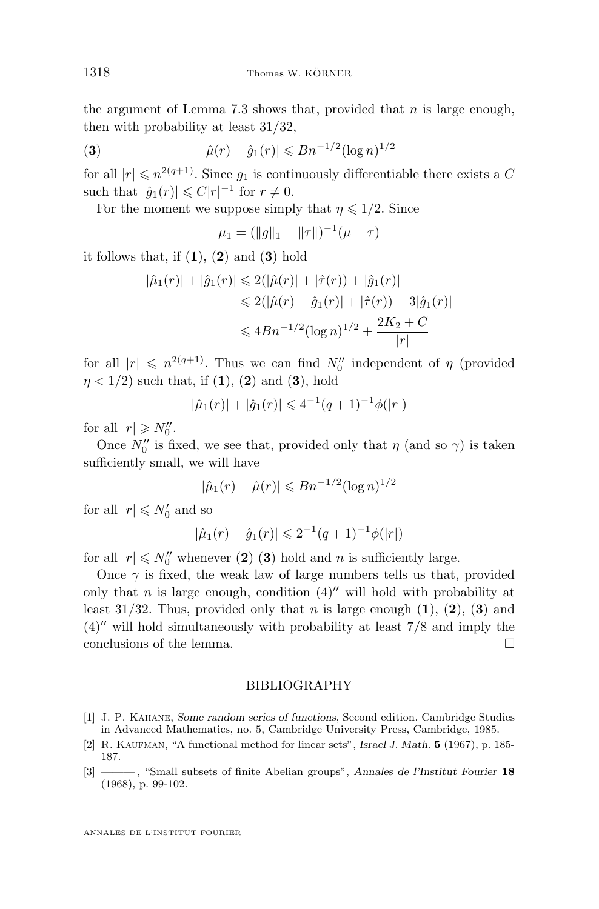<span id="page-28-0"></span>the argument of Lemma [7.3](#page-24-0) shows that, provided that  $n$  is large enough, then with probability at least 31/32,

(3) 
$$
|\hat{\mu}(r) - \hat{g}_1(r)| \leqslant Bn^{-1/2}(\log n)^{1/2}
$$

for all  $|r| \leq n^{2(q+1)}$ . Since  $g_1$  is continuously differentiable there exists a C such that  $|\hat{g}_1(r)| \leqslant C|r|^{-1}$  for  $r \neq 0$ .

For the moment we suppose simply that  $\eta \leq 1/2$ . Since

$$
\mu_1 = (\|g\|_1 - \|\tau\|)^{-1}(\mu - \tau)
$$

it follows that, if  $(1)$ ,  $(2)$  and  $(3)$  hold

$$
|\hat{\mu}_1(r)| + |\hat{g}_1(r)| \leq 2(|\hat{\mu}(r)| + |\hat{\tau}(r)) + |\hat{g}_1(r)|
$$
  
\n
$$
\leq 2(|\hat{\mu}(r) - \hat{g}_1(r)| + |\hat{\tau}(r)) + 3|\hat{g}_1(r)|
$$
  
\n
$$
\leq 4Bn^{-1/2}(\log n)^{1/2} + \frac{2K_2 + C}{|r|}
$$

for all  $|r| \leq n^{2(q+1)}$ . Thus we can find  $N_0''$  independent of  $\eta$  (provided  $n < 1/2$ ) such that, if (1), (2) and (3), hold

$$
|\hat{\mu}_1(r)| + |\hat{g}_1(r)| \leq 4^{-1}(q+1)^{-1}\phi(|r|)
$$

for all  $|r| \geq N_0''$ .

Once  $N_0^{\prime\prime}$  is fixed, we see that, provided only that  $\eta$  (and so  $\gamma$ ) is taken sufficiently small, we will have

$$
|\hat{\mu}_1(r) - \hat{\mu}(r)| \le Bn^{-1/2}(\log n)^{1/2}
$$

for all  $|r| \le N_0'$  and so

$$
|\hat{\mu}_1(r) - \hat{g}_1(r)| \leq 2^{-1}(q+1)^{-1}\phi(|r|)
$$

for all  $|r| \le N_0''$  whenever (2) (3) hold and n is sufficiently large.

Once  $\gamma$  is fixed, the weak law of large numbers tells us that, provided only that n is large enough, condition  $(4)$ <sup>n</sup> will hold with probability at least 31/32. Thus, provided only that n is large enough  $(1)$ ,  $(2)$ ,  $(3)$  and  $(4)$ <sup>n</sup> will hold simultaneously with probability at least  $7/8$  and imply the conclusions of the lemma.  $\Box$ 

#### BIBLIOGRAPHY

- [1] J. P. Kahane, *Some random series of functions*, Second edition. Cambridge Studies in Advanced Mathematics, no. 5, Cambridge University Press, Cambridge, 1985.
- [2] R. Kaufman, "A functional method for linear sets", *Israel J. Math.* **5** (1967), p. 185- 187.
- [3] ——— , "Small subsets of finite Abelian groups", *Annales de l'Institut Fourier* **18** (1968), p. 99-102.